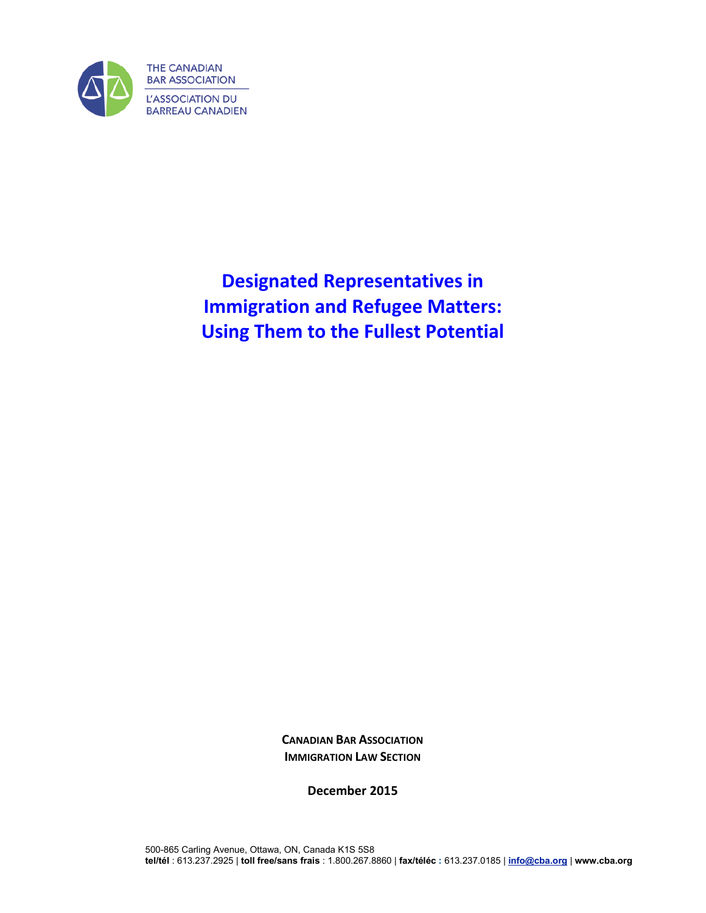

**Designated Representatives in Immigration and Refugee Matters: Using Them to the Fullest Potential**

> **CANADIAN BAR ASSOCIATION IMMIGRATION LAW SECTION**

> > **December 2015**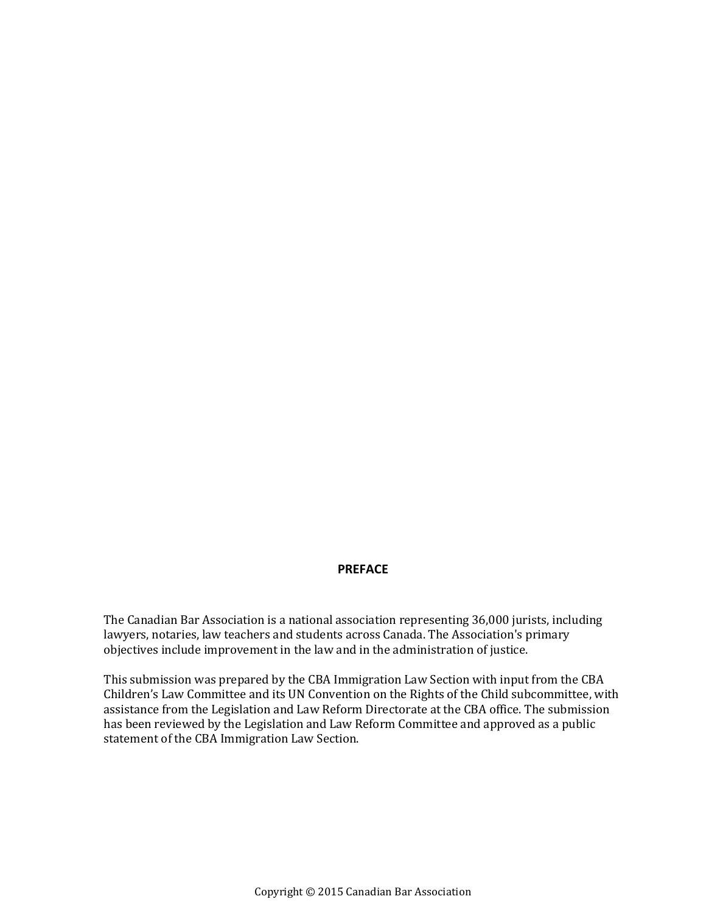#### **PREFACE**

The Canadian Bar Association is a national association representing 36,000 jurists, including lawyers, notaries, law teachers and students across Canada. The Association's primary objectives include improvement in the law and in the administration of justice.

This submission was prepared by the CBA Immigration Law Section with input from the CBA Children's Law Committee and its UN Convention on the Rights of the Child subcommittee, with assistance from the Legislation and Law Reform Directorate at the CBA office. The submission has been reviewed by the Legislation and Law Reform Committee and approved as a public statement of the CBA Immigration Law Section.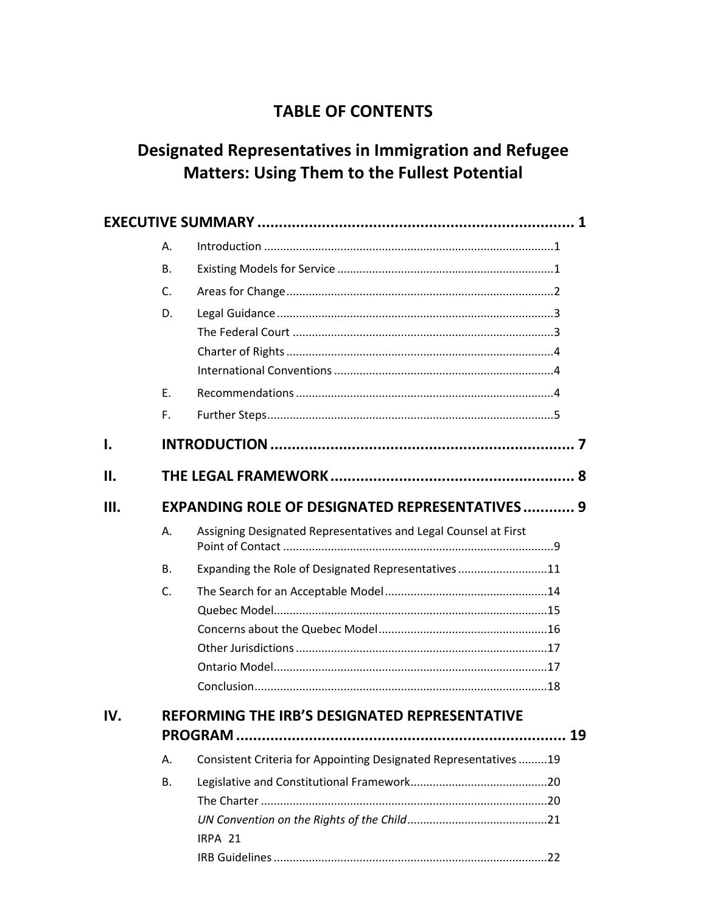## **TABLE OF CONTENTS**

# **Designated Representatives in Immigration and Refugee Matters: Using Them to the Fullest Potential**

|      | Α.                                                    |                                                                  |     |  |  |  |
|------|-------------------------------------------------------|------------------------------------------------------------------|-----|--|--|--|
|      | <b>B.</b>                                             |                                                                  |     |  |  |  |
|      | C.                                                    |                                                                  |     |  |  |  |
|      | D.                                                    |                                                                  |     |  |  |  |
|      |                                                       |                                                                  |     |  |  |  |
|      |                                                       |                                                                  |     |  |  |  |
|      |                                                       |                                                                  |     |  |  |  |
|      | F.                                                    |                                                                  |     |  |  |  |
|      | F.                                                    |                                                                  |     |  |  |  |
| I.   |                                                       |                                                                  |     |  |  |  |
| П.   |                                                       |                                                                  |     |  |  |  |
| III. | <b>EXPANDING ROLE OF DESIGNATED REPRESENTATIVES 9</b> |                                                                  |     |  |  |  |
|      | А.                                                    | Assigning Designated Representatives and Legal Counsel at First  |     |  |  |  |
|      | <b>B.</b>                                             | Expanding the Role of Designated Representatives 11              |     |  |  |  |
|      | C.                                                    |                                                                  |     |  |  |  |
|      |                                                       |                                                                  |     |  |  |  |
|      |                                                       |                                                                  |     |  |  |  |
|      |                                                       |                                                                  |     |  |  |  |
|      |                                                       |                                                                  |     |  |  |  |
|      |                                                       |                                                                  |     |  |  |  |
| IV.  | REFORMING THE IRB'S DESIGNATED REPRESENTATIVE         |                                                                  |     |  |  |  |
|      | Α.                                                    | Consistent Criteria for Appointing Designated Representatives 19 |     |  |  |  |
|      | В.                                                    |                                                                  |     |  |  |  |
|      |                                                       |                                                                  |     |  |  |  |
|      |                                                       | IRPA 21                                                          |     |  |  |  |
|      |                                                       |                                                                  | .22 |  |  |  |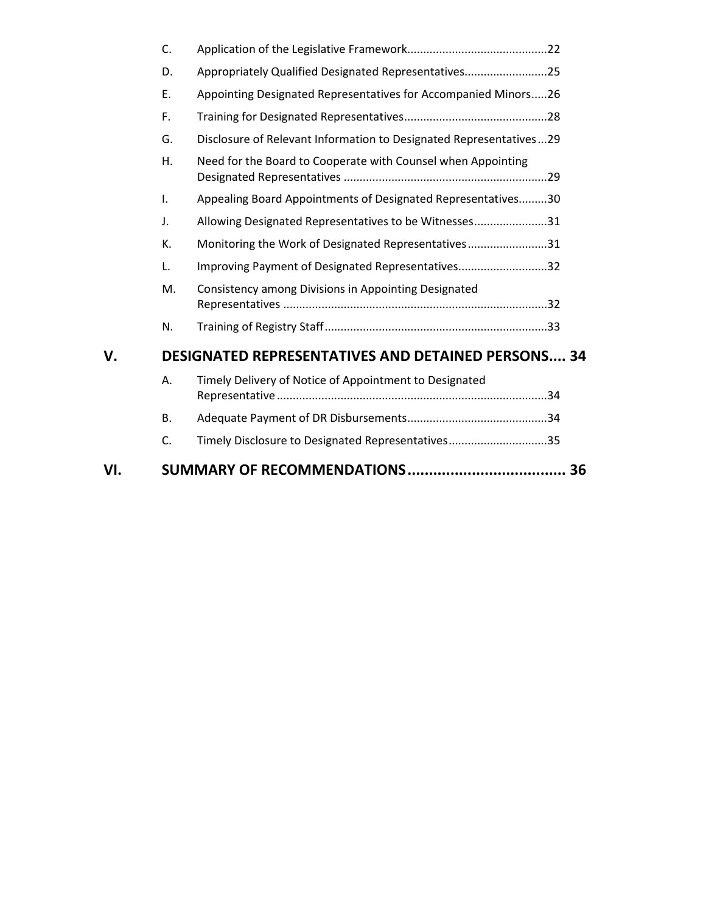|     | C.                                                        |                                                                    |  |  |  |  |
|-----|-----------------------------------------------------------|--------------------------------------------------------------------|--|--|--|--|
|     | D.                                                        | Appropriately Qualified Designated Representatives25               |  |  |  |  |
|     | Ε.                                                        | Appointing Designated Representatives for Accompanied Minors26     |  |  |  |  |
|     | F.                                                        |                                                                    |  |  |  |  |
|     | G.                                                        | Disclosure of Relevant Information to Designated Representatives29 |  |  |  |  |
|     | Η.                                                        | Need for the Board to Cooperate with Counsel when Appointing       |  |  |  |  |
|     | I.                                                        | Appealing Board Appointments of Designated Representatives30       |  |  |  |  |
|     | J.                                                        | Allowing Designated Representatives to be Witnesses31              |  |  |  |  |
|     | K.                                                        | Monitoring the Work of Designated Representatives31                |  |  |  |  |
|     | L.                                                        | Improving Payment of Designated Representatives32                  |  |  |  |  |
|     | М.                                                        | Consistency among Divisions in Appointing Designated               |  |  |  |  |
|     | N.                                                        |                                                                    |  |  |  |  |
| V.  | <b>DESIGNATED REPRESENTATIVES AND DETAINED PERSONS 34</b> |                                                                    |  |  |  |  |
|     | А.                                                        | Timely Delivery of Notice of Appointment to Designated             |  |  |  |  |
|     | В.                                                        |                                                                    |  |  |  |  |
|     | C.                                                        | Timely Disclosure to Designated Representatives35                  |  |  |  |  |
| VI. |                                                           |                                                                    |  |  |  |  |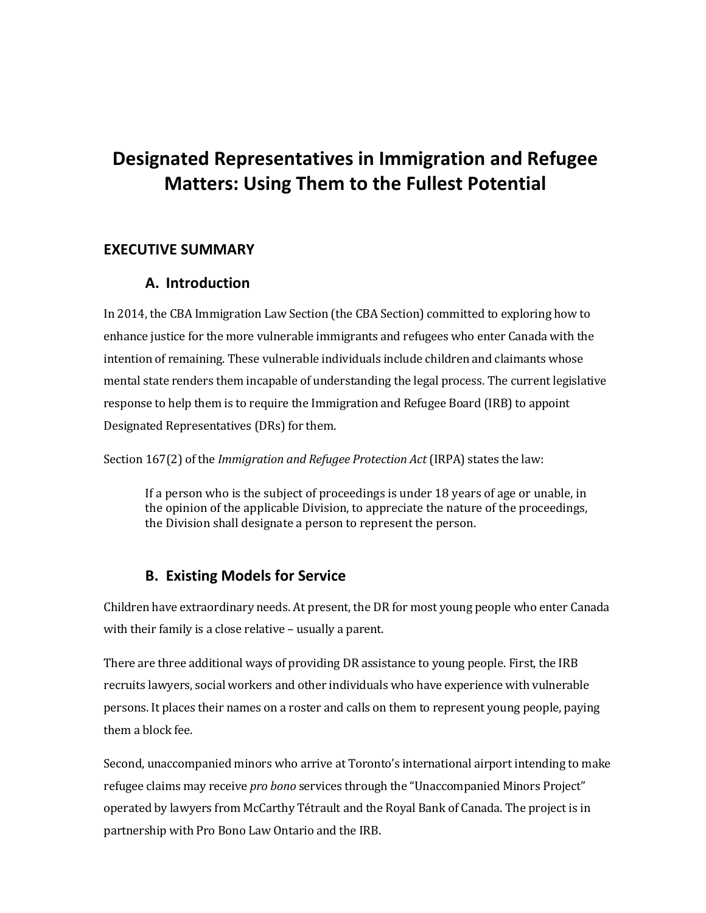# **Designated Representatives in Immigration and Refugee Matters: Using Them to the Fullest Potential**

### <span id="page-4-1"></span><span id="page-4-0"></span>**EXECUTIVE SUMMARY**

### **A. Introduction**

In 2014, the CBA Immigration Law Section (the CBA Section) committed to exploring how to enhance justice for the more vulnerable immigrants and refugees who enter Canada with the intention of remaining. These vulnerable individuals include children and claimants whose mental state renders them incapable of understanding the legal process. The current legislative response to help them is to require the Immigration and Refugee Board (IRB) to appoint Designated Representatives (DRs) for them.

Section 167(2) of the *Immigration and Refugee Protection Act* (IRPA) states the law:

If a person who is the subject of proceedings is under 18 years of age or unable, in the opinion of the applicable Division, to appreciate the nature of the proceedings, the Division shall designate a person to represent the person.

## **B. Existing Models for Service**

<span id="page-4-2"></span>Children have extraordinary needs. At present, the DR for most young people who enter Canada with their family is a close relative – usually a parent.

There are three additional ways of providing DR assistance to young people. First, the IRB recruits lawyers, social workers and other individuals who have experience with vulnerable persons. It places their names on a roster and calls on them to represent young people, paying them a block fee.

Second, unaccompanied minors who arrive at Toronto's international airport intending to make refugee claims may receive *pro bono* services through the "Unaccompanied Minors Project" operated by lawyers from McCarthy Tétrault and the Royal Bank of Canada. The project is in partnership with Pro Bono Law Ontario and the IRB.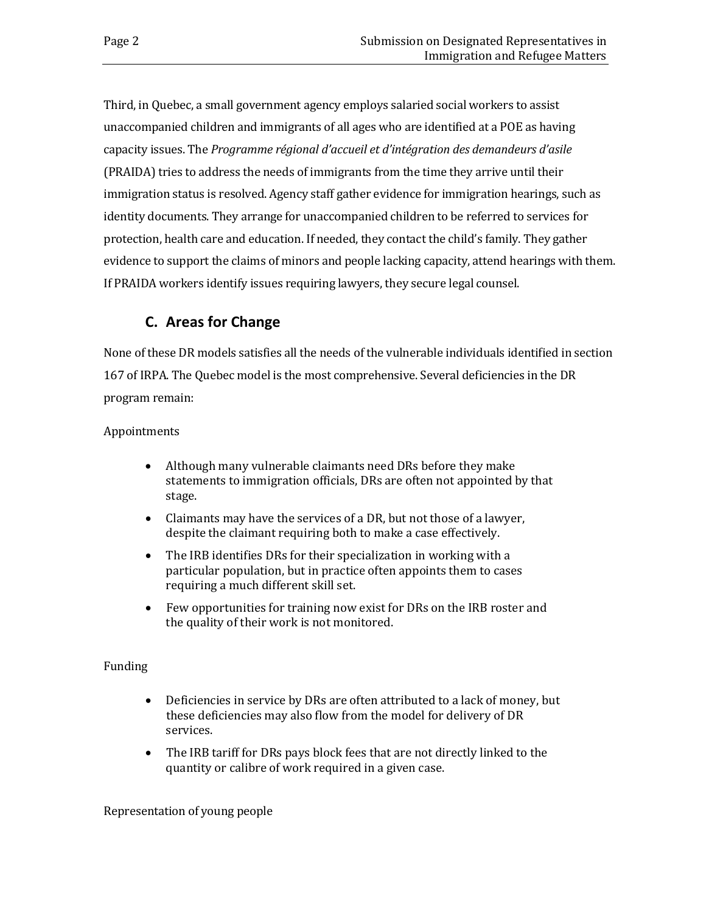Third, in Quebec, a small government agency employs salaried social workers to assist unaccompanied children and immigrants of all ages who are identified at a POE as having capacity issues. The *Programme régional d'accueil et d'intégration des demandeurs d'asile*  (PRAIDA) tries to address the needs of immigrants from the time they arrive until their immigration status is resolved. Agency staff gather evidence for immigration hearings, such as identity documents. They arrange for unaccompanied children to be referred to services for protection, health care and education. If needed, they contact the child's family. They gather evidence to support the claims of minors and people lacking capacity, attend hearings with them. If PRAIDA workers identify issues requiring lawyers, they secure legal counsel.

## **C. Areas for Change**

<span id="page-5-0"></span>None of these DR models satisfies all the needs of the vulnerable individuals identified in section 167 of IRPA. The Quebec model is the most comprehensive. Several deficiencies in the DR program remain:

### Appointments

- Although many vulnerable claimants need DRs before they make statements to immigration officials, DRs are often not appointed by that stage.
- Claimants may have the services of a DR, but not those of a lawyer, despite the claimant requiring both to make a case effectively.
- The IRB identifies DRs for their specialization in working with a particular population, but in practice often appoints them to cases requiring a much different skill set.
- Few opportunities for training now exist for DRs on the IRB roster and the quality of their work is not monitored.

### Funding

- Deficiencies in service by DRs are often attributed to a lack of money, but these deficiencies may also flow from the model for delivery of DR services.
- The IRB tariff for DRs pays block fees that are not directly linked to the quantity or calibre of work required in a given case.

### Representation of young people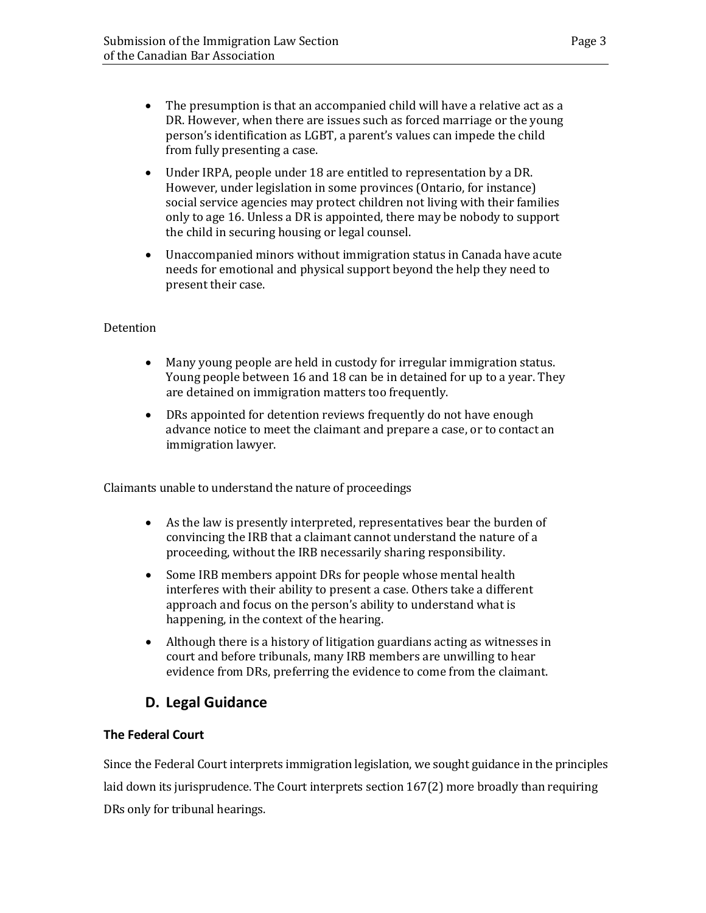- The presumption is that an accompanied child will have a relative act as a DR. However, when there are issues such as forced marriage or the young person's identification as LGBT, a parent's values can impede the child from fully presenting a case.
- Under IRPA, people under 18 are entitled to representation by a DR. However, under legislation in some provinces (Ontario, for instance) social service agencies may protect children not living with their families only to age 16. Unless a DR is appointed, there may be nobody to support the child in securing housing or legal counsel.
- Unaccompanied minors without immigration status in Canada have acute needs for emotional and physical support beyond the help they need to present their case.

### Detention

- Many young people are held in custody for irregular immigration status. Young people between 16 and 18 can be in detained for up to a year. They are detained on immigration matters too frequently.
- DRs appointed for detention reviews frequently do not have enough advance notice to meet the claimant and prepare a case, or to contact an immigration lawyer.

Claimants unable to understand the nature of proceedings

- As the law is presently interpreted, representatives bear the burden of convincing the IRB that a claimant cannot understand the nature of a proceeding, without the IRB necessarily sharing responsibility.
- Some IRB members appoint DRs for people whose mental health interferes with their ability to present a case. Others take a different approach and focus on the person's ability to understand what is happening, in the context of the hearing.
- Although there is a history of litigation guardians acting as witnesses in court and before tribunals, many IRB members are unwilling to hear evidence from DRs, preferring the evidence to come from the claimant.

## **D. Legal Guidance**

### <span id="page-6-1"></span><span id="page-6-0"></span>**The Federal Court**

Since the Federal Court interprets immigration legislation, we sought guidance in the principles laid down its jurisprudence. The Court interprets section 167(2) more broadly than requiring DRs only for tribunal hearings.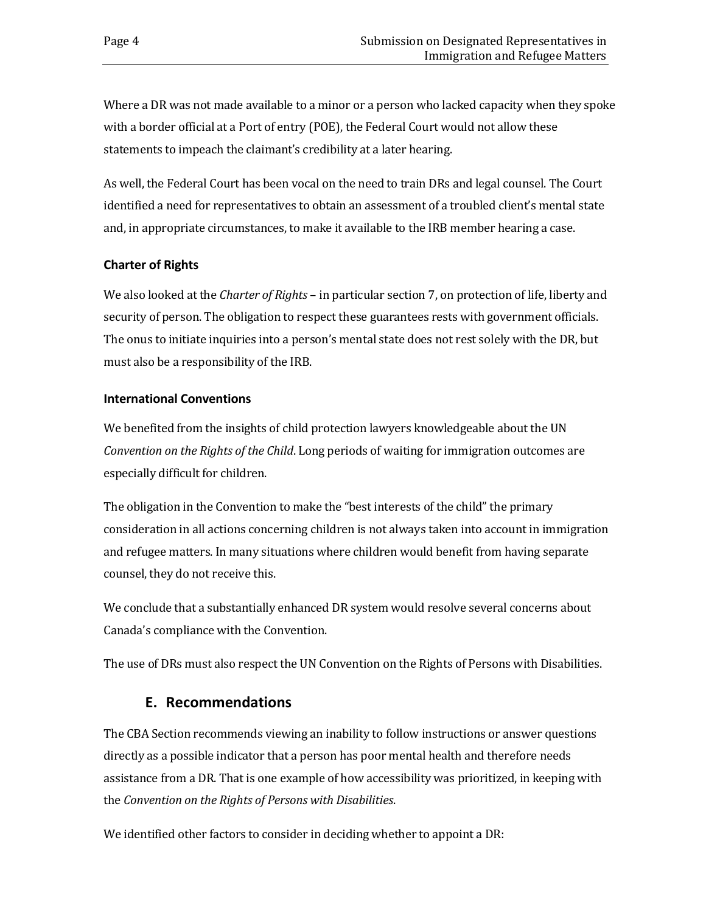Where a DR was not made available to a minor or a person who lacked capacity when they spoke with a border official at a Port of entry (POE), the Federal Court would not allow these statements to impeach the claimant's credibility at a later hearing.

As well, the Federal Court has been vocal on the need to train DRs and legal counsel. The Court identified a need for representatives to obtain an assessment of a troubled client's mental state and, in appropriate circumstances, to make it available to the IRB member hearing a case.

### <span id="page-7-0"></span>**Charter of Rights**

We also looked at the *Charter of Rights* – in particular section 7, on protection of life, liberty and security of person. The obligation to respect these guarantees rests with government officials. The onus to initiate inquiries into a person's mental state does not rest solely with the DR, but must also be a responsibility of the IRB.

### <span id="page-7-1"></span>**International Conventions**

We benefited from the insights of child protection lawyers knowledgeable about the UN *Convention on the Rights of the Child*. Long periods of waiting for immigration outcomes are especially difficult for children.

The obligation in the Convention to make the "best interests of the child" the primary consideration in all actions concerning children is not always taken into account in immigration and refugee matters. In many situations where children would benefit from having separate counsel, they do not receive this.

We conclude that a substantially enhanced DR system would resolve several concerns about Canada's compliance with the Convention.

<span id="page-7-2"></span>The use of DRs must also respect the UN Convention on the Rights of Persons with Disabilities.

## **E. Recommendations**

The CBA Section recommends viewing an inability to follow instructions or answer questions directly as a possible indicator that a person has poor mental health and therefore needs assistance from a DR. That is one example of how accessibility was prioritized, in keeping with the *Convention on the Rights of Persons with Disabilities*.

We identified other factors to consider in deciding whether to appoint a DR: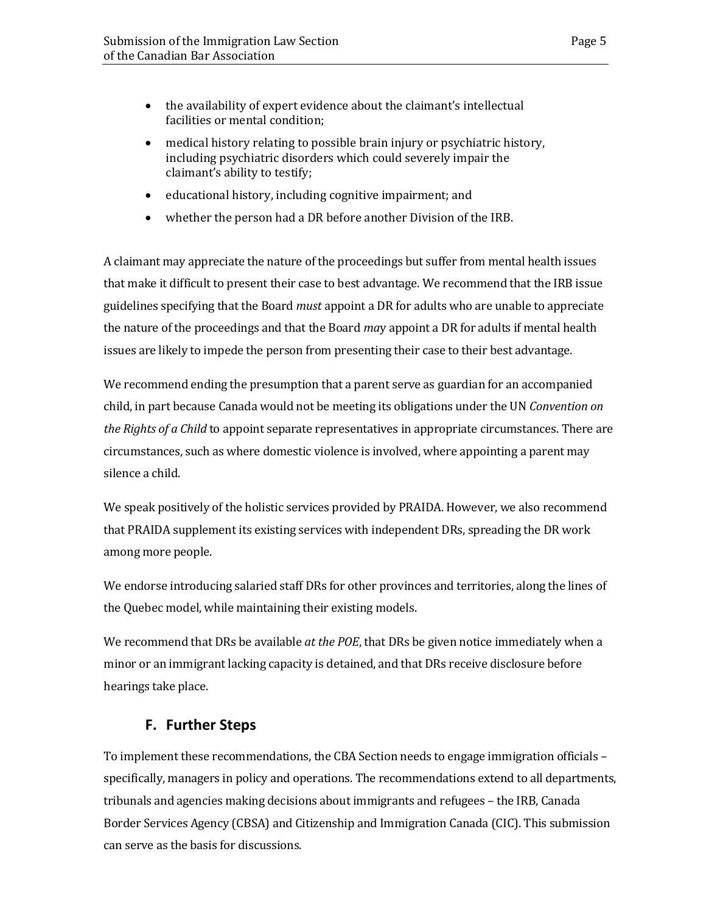- the availability of expert evidence about the claimant's intellectual facilities or mental condition;
- medical history relating to possible brain injury or psychiatric history, including psychiatric disorders which could severely impair the claimant's ability to testify;
- educational history, including cognitive impairment; and
- whether the person had a DR before another Division of the IRB.

A claimant may appreciate the nature of the proceedings but suffer from mental health issues that make it difficult to present their case to best advantage. We recommend that the IRB issue guidelines specifying that the Board *must* appoint a DR for adults who are unable to appreciate the nature of the proceedings and that the Board *ma*y appoint a DR for adults if mental health issues are likely to impede the person from presenting their case to their best advantage.

We recommend ending the presumption that a parent serve as guardian for an accompanied child, in part because Canada would not be meeting its obligations under the UN *Convention on the Rights of a Child* to appoint separate representatives in appropriate circumstances. There are circumstances, such as where domestic violence is involved, where appointing a parent may silence a child.

We speak positively of the holistic services provided by PRAIDA. However, we also recommend that PRAIDA supplement its existing services with independent DRs, spreading the DR work among more people.

We endorse introducing salaried staff DRs for other provinces and territories, along the lines of the Quebec model, while maintaining their existing models.

We recommend that DRs be available *at the POE*, that DRs be given notice immediately when a minor or an immigrant lacking capacity is detained, and that DRs receive disclosure before hearings take place.

## **F. Further Steps**

<span id="page-8-0"></span>To implement these recommendations, the CBA Section needs to engage immigration officials – specifically, managers in policy and operations. The recommendations extend to all departments, tribunals and agencies making decisions about immigrants and refugees – the IRB, Canada Border Services Agency (CBSA) and Citizenship and Immigration Canada (CIC). This submission can serve as the basis for discussions.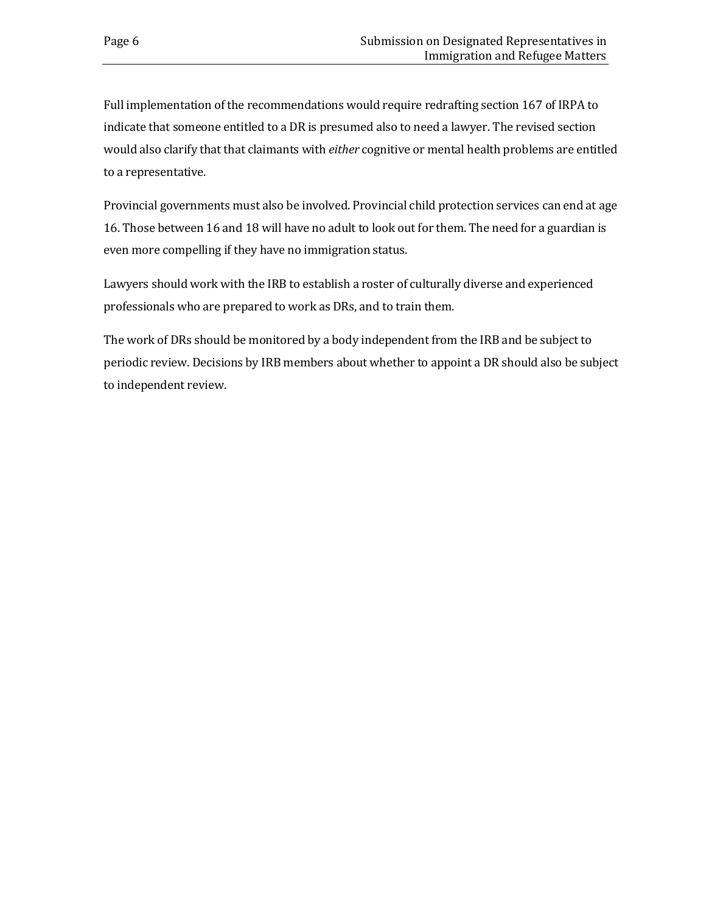Full implementation of the recommendations would require redrafting section 167 of IRPA to indicate that someone entitled to a DR is presumed also to need a lawyer. The revised section would also clarify that that claimants with *either* cognitive or mental health problems are entitled to a representative.

Provincial governments must also be involved. Provincial child protection services can end at age 16. Those between 16 and 18 will have no adult to look out for them. The need for a guardian is even more compelling if they have no immigration status.

Lawyers should work with the IRB to establish a roster of culturally diverse and experienced professionals who are prepared to work as DRs, and to train them.

The work of DRs should be monitored by a body independent from the IRB and be subject to periodic review. Decisions by IRB members about whether to appoint a DR should also be subject to independent review.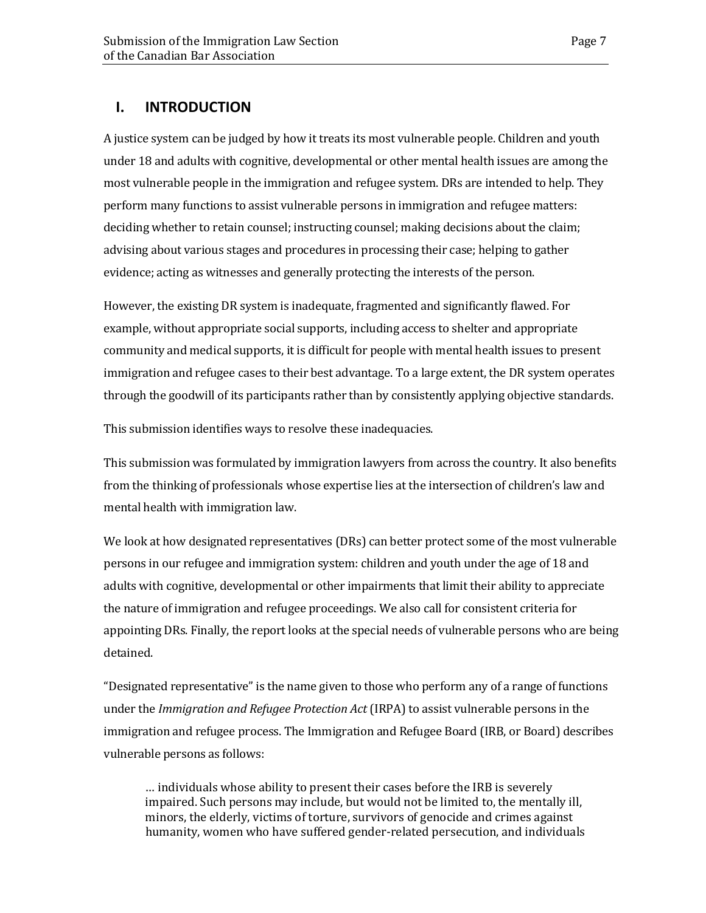### <span id="page-10-0"></span>**I. INTRODUCTION**

A justice system can be judged by how it treats its most vulnerable people. Children and youth under 18 and adults with cognitive, developmental or other mental health issues are among the most vulnerable people in the immigration and refugee system. DRs are intended to help. They perform many functions to assist vulnerable persons in immigration and refugee matters: deciding whether to retain counsel; instructing counsel; making decisions about the claim; advising about various stages and procedures in processing their case; helping to gather evidence; acting as witnesses and generally protecting the interests of the person.

However, the existing DR system is inadequate, fragmented and significantly flawed. For example, without appropriate social supports, including access to shelter and appropriate community and medical supports, it is difficult for people with mental health issues to present immigration and refugee cases to their best advantage. To a large extent, the DR system operates through the goodwill of its participants rather than by consistently applying objective standards.

This submission identifies ways to resolve these inadequacies.

This submission was formulated by immigration lawyers from across the country. It also benefits from the thinking of professionals whose expertise lies at the intersection of children's law and mental health with immigration law.

We look at how designated representatives (DRs) can better protect some of the most vulnerable persons in our refugee and immigration system: children and youth under the age of 18 and adults with cognitive, developmental or other impairments that limit their ability to appreciate the nature of immigration and refugee proceedings. We also call for consistent criteria for appointing DRs. Finally, the report looks at the special needs of vulnerable persons who are being detained.

"Designated representative" is the name given to those who perform any of a range of functions under the *Immigration and Refugee Protection Act* (IRPA) to assist vulnerable persons in the immigration and refugee process. The Immigration and Refugee Board (IRB, or Board) describes vulnerable persons as follows:

… individuals whose ability to present their cases before the IRB is severely impaired. Such persons may include, but would not be limited to, the mentally ill, minors, the elderly, victims of torture, survivors of genocide and crimes against humanity, women who have suffered gender-related persecution, and individuals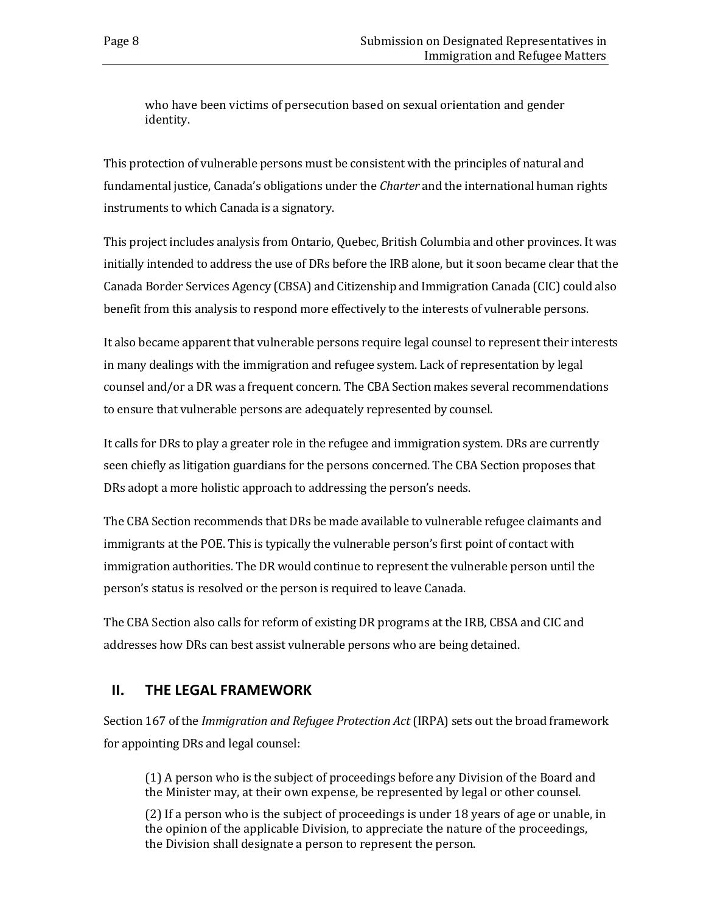who have been victims of persecution based on sexual orientation and gender identity.

This protection of vulnerable persons must be consistent with the principles of natural and fundamental justice, Canada's obligations under the *Charter* and the international human rights instruments to which Canada is a signatory.

This project includes analysis from Ontario, Quebec, British Columbia and other provinces. It was initially intended to address the use of DRs before the IRB alone, but it soon became clear that the Canada Border Services Agency (CBSA) and Citizenship and Immigration Canada (CIC) could also benefit from this analysis to respond more effectively to the interests of vulnerable persons.

It also became apparent that vulnerable persons require legal counsel to represent their interests in many dealings with the immigration and refugee system. Lack of representation by legal counsel and/or a DR was a frequent concern. The CBA Section makes several recommendations to ensure that vulnerable persons are adequately represented by counsel.

It calls for DRs to play a greater role in the refugee and immigration system. DRs are currently seen chiefly as litigation guardians for the persons concerned. The CBA Section proposes that DRs adopt a more holistic approach to addressing the person's needs.

The CBA Section recommends that DRs be made available to vulnerable refugee claimants and immigrants at the POE. This is typically the vulnerable person's first point of contact with immigration authorities. The DR would continue to represent the vulnerable person until the person's status is resolved or the person is required to leave Canada.

The CBA Section also calls for reform of existing DR programs at the IRB, CBSA and CIC and addresses how DRs can best assist vulnerable persons who are being detained.

## <span id="page-11-0"></span>**II. THE LEGAL FRAMEWORK**

Section 167 of the *Immigration and Refugee Protection Act* (IRPA) sets out the broad framework for appointing DRs and legal counsel:

(1) A person who is the subject of proceedings before any Division of the Board and the Minister may, at their own expense, be represented by legal or other counsel.

(2) If a person who is the subject of proceedings is under 18 years of age or unable, in the opinion of the applicable Division, to appreciate the nature of the proceedings, the Division shall designate a person to represent the person.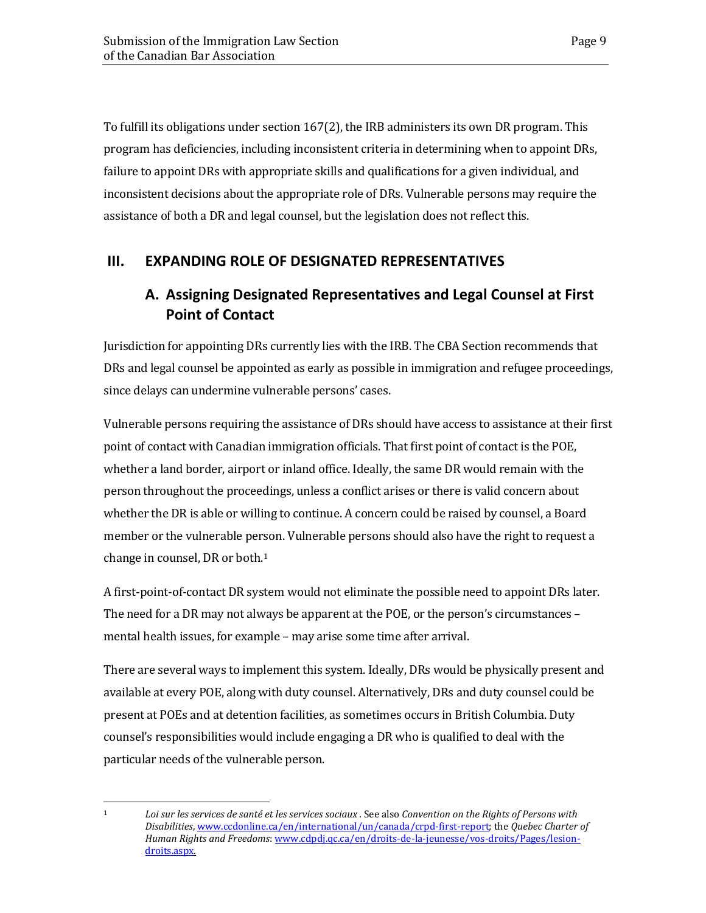To fulfill its obligations under section 167(2), the IRB administers its own DR program. This program has deficiencies, including inconsistent criteria in determining when to appoint DRs, failure to appoint DRs with appropriate skills and qualifications for a given individual, and inconsistent decisions about the appropriate role of DRs. Vulnerable persons may require the assistance of both a DR and legal counsel, but the legislation does not reflect this.

## <span id="page-12-1"></span><span id="page-12-0"></span>**III. EXPANDING ROLE OF DESIGNATED REPRESENTATIVES**

## **A. Assigning Designated Representatives and Legal Counsel at First Point of Contact**

Jurisdiction for appointing DRs currently lies with the IRB. The CBA Section recommends that DRs and legal counsel be appointed as early as possible in immigration and refugee proceedings, since delays can undermine vulnerable persons' cases.

Vulnerable persons requiring the assistance of DRs should have access to assistance at their first point of contact with Canadian immigration officials. That first point of contact is the POE, whether a land border, airport or inland office. Ideally, the same DR would remain with the person throughout the proceedings, unless a conflict arises or there is valid concern about whether the DR is able or willing to continue. A concern could be raised by counsel, a Board member or the vulnerable per[s](#page-12-2)on. Vulnerable persons should also have the right to request a change in counsel, DR or both.1

A first-point-of-contact DR system would not eliminate the possible need to appoint DRs later. The need for a DR may not always be apparent at the POE, or the person's circumstances – mental health issues, for example – may arise some time after arrival.

There are several ways to implement this system. Ideally, DRs would be physically present and available at every POE, along with duty counsel. Alternatively, DRs and duty counsel could be present at POEs and at detention facilities, as sometimes occurs in British Columbia. Duty counsel's responsibilities would include engaging a DR who is qualified to deal with the particular needs of the vulnerable person.

<span id="page-12-2"></span> $\mathbf{1}$ 

<sup>1</sup> *Loi sur les services de santé et les services sociaux .* See also *Convention on the Rights of Persons with Disabilities*, [www.ccdonline.ca/en/international/un/canada/crpd-first-report;](http://www.ccdonline.ca/en/international/un/canada/crpd-first-report) the *Quebec Charter of Human Rights and Freedoms*: [www.cdpdj.qc.ca/en/droits-de-la-jeunesse/vos-droits/Pages/lesion](http://www.cdpdj.qc.ca/en/droits-de-la-jeunesse/vos-droits/pages/lesion-droits.aspx)[droits.aspx.](http://www.cdpdj.qc.ca/en/droits-de-la-jeunesse/vos-droits/pages/lesion-droits.aspx)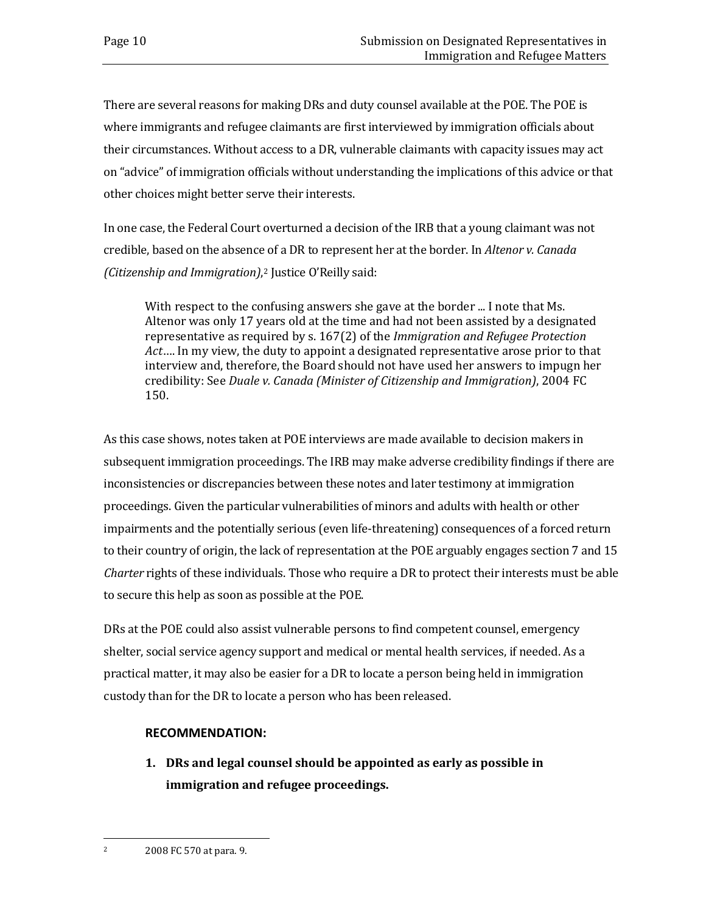There are several reasons for making DRs and duty counsel available at the POE. The POE is where immigrants and refugee claimants are first interviewed by immigration officials about their circumstances. Without access to a DR, vulnerable claimants with capacity issues may act on "advice" of immigration officials without understanding the implications of this advice or that other choices might better serve their interests.

In one case, the Federal Court overturned a decision of the IRB that a young claimant was not credible, based on the absence of a DR to represent her at the border. In *Altenor v. Canada (Citizenship and Immigration)*,[2](#page-13-0) Justice O'Reilly said:

With respect to the confusing answers she gave at the border ... I note that Ms. Altenor was only 17 years old at the time and had not been assisted by a designated representative as required by s. 167(2) of the *Immigration and Refugee Protection Act*…. In my view, the duty to appoint a designated representative arose prior to that interview and, therefore, the Board should not have used her answers to impugn her credibility: See *Duale v. Canada (Minister of Citizenship and Immigration)*, 2004 FC 150.

As this case shows, notes taken at POE interviews are made available to decision makers in subsequent immigration proceedings. The IRB may make adverse credibility findings if there are inconsistencies or discrepancies between these notes and later testimony at immigration proceedings. Given the particular vulnerabilities of minors and adults with health or other impairments and the potentially serious (even life-threatening) consequences of a forced return to their country of origin, the lack of representation at the POE arguably engages section 7 and 15 *Charter* rights of these individuals. Those who require a DR to protect their interests must be able to secure this help as soon as possible at the POE.

DRs at the POE could also assist vulnerable persons to find competent counsel, emergency shelter, social service agency support and medical or mental health services, if needed. As a practical matter, it may also be easier for a DR to locate a person being held in immigration custody than for the DR to locate a person who has been released.

### **RECOMMENDATION:**

**1. DRs and legal counsel should be appointed as early as possible in immigration and refugee proceedings.** 

<span id="page-13-0"></span> $\overline{2}$ <sup>2</sup> 2008 FC 570 at para. 9.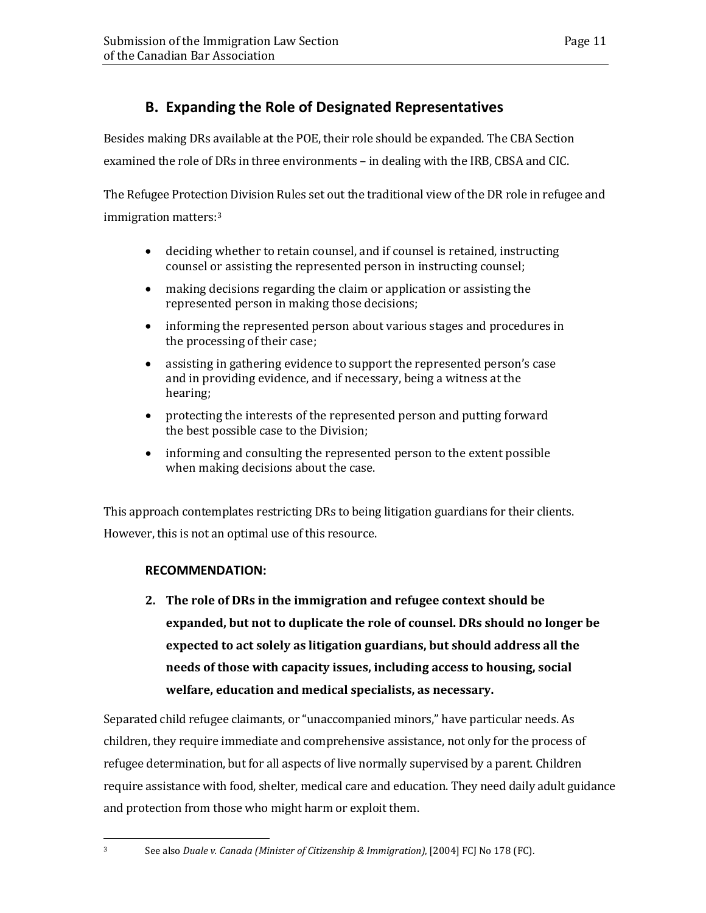## **B. Expanding the Role of Designated Representatives**

<span id="page-14-0"></span>Besides making DRs available at the POE, their role should be expanded. The CBA Section examined the role of DRs in three environments – in dealing with the IRB, CBSA and CIC.

The Refugee Protection Division Rules set out the traditional view of the DR role in refugee and immigration matters:[3](#page-14-1)

- deciding whether to retain counsel, and if counsel is retained, instructing counsel or assisting the represented person in instructing counsel;
- making decisions regarding the claim or application or assisting the represented person in making those decisions;
- informing the represented person about various stages and procedures in the processing of their case;
- assisting in gathering evidence to support the represented person's case and in providing evidence, and if necessary, being a witness at the hearing;
- protecting the interests of the represented person and putting forward the best possible case to the Division;
- informing and consulting the represented person to the extent possible when making decisions about the case.

This approach contemplates restricting DRs to being litigation guardians for their clients. However, this is not an optimal use of this resource.

### **RECOMMENDATION:**

**2. The role of DRs in the immigration and refugee context should be expanded, but not to duplicate the role of counsel. DRs should no longer be expected to act solely as litigation guardians, but should address all the needs of those with capacity issues, including access to housing, social welfare, education and medical specialists, as necessary.** 

Separated child refugee claimants, or "unaccompanied minors," have particular needs. As children, they require immediate and comprehensive assistance, not only for the process of refugee determination, but for all aspects of live normally supervised by a parent. Children require assistance with food, shelter, medical care and education. They need daily adult guidance and protection from those who might harm or exploit them.

<span id="page-14-1"></span> $\overline{3}$ 

<sup>3</sup> See also *Duale v. Canada (Minister of Citizenship & Immigration)*, [2004] FCJ No 178 (FC).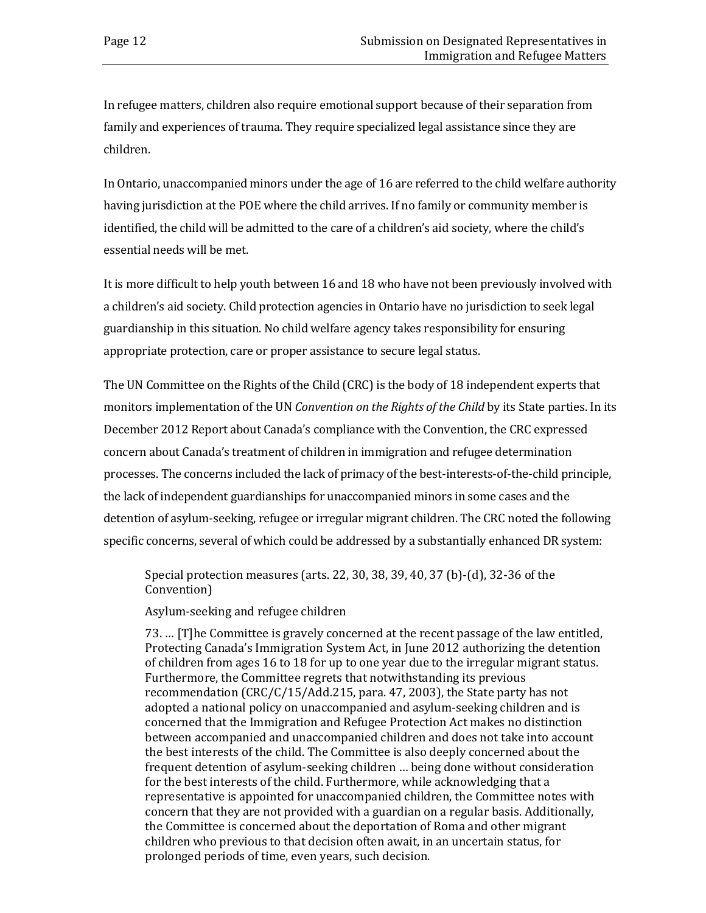In refugee matters, children also require emotional support because of their separation from family and experiences of trauma. They require specialized legal assistance since they are children.

In Ontario, unaccompanied minors under the age of 16 are referred to the child welfare authority having jurisdiction at the POE where the child arrives. If no family or community member is identified, the child will be admitted to the care of a children's aid society, where the child's essential needs will be met.

It is more difficult to help youth between 16 and 18 who have not been previously involved with a children's aid society. Child protection agencies in Ontario have no jurisdiction to seek legal guardianship in this situation. No child welfare agency takes responsibility for ensuring appropriate protection, care or proper assistance to secure legal status.

The UN Committee on the Rights of the Child (CRC) is the body of 18 independent experts that monitors implementation of the UN *Convention on the Rights of the Child* by its State parties. In its December 2012 Report about Canada's compliance with the Convention, the CRC expressed concern about Canada's treatment of children in immigration and refugee determination processes. The concerns included the lack of primacy of the best-interests-of-the-child principle, the lack of independent guardianships for unaccompanied minors in some cases and the detention of asylum-seeking, refugee or irregular migrant children. The CRC noted the following specific concerns, several of which could be addressed by a substantially enhanced DR system:

Special protection measures (arts. 22, 30, 38, 39, 40, 37 (b)-(d), 32-36 of the Convention)

Asylum-seeking and refugee children

73. … [T]he Committee is gravely concerned at the recent passage of the law entitled, Protecting Canada's Immigration System Act, in June 2012 authorizing the detention of children from ages 16 to 18 for up to one year due to the irregular migrant status. Furthermore, the Committee regrets that notwithstanding its previous recommendation (CRC/C/15/Add.215, para. 47, 2003), the State party has not adopted a national policy on unaccompanied and asylum-seeking children and is concerned that the Immigration and Refugee Protection Act makes no distinction between accompanied and unaccompanied children and does not take into account the best interests of the child. The Committee is also deeply concerned about the frequent detention of asylum-seeking children … being done without consideration for the best interests of the child. Furthermore, while acknowledging that a representative is appointed for unaccompanied children, the Committee notes with concern that they are not provided with a guardian on a regular basis. Additionally, the Committee is concerned about the deportation of Roma and other migrant children who previous to that decision often await, in an uncertain status, for prolonged periods of time, even years, such decision.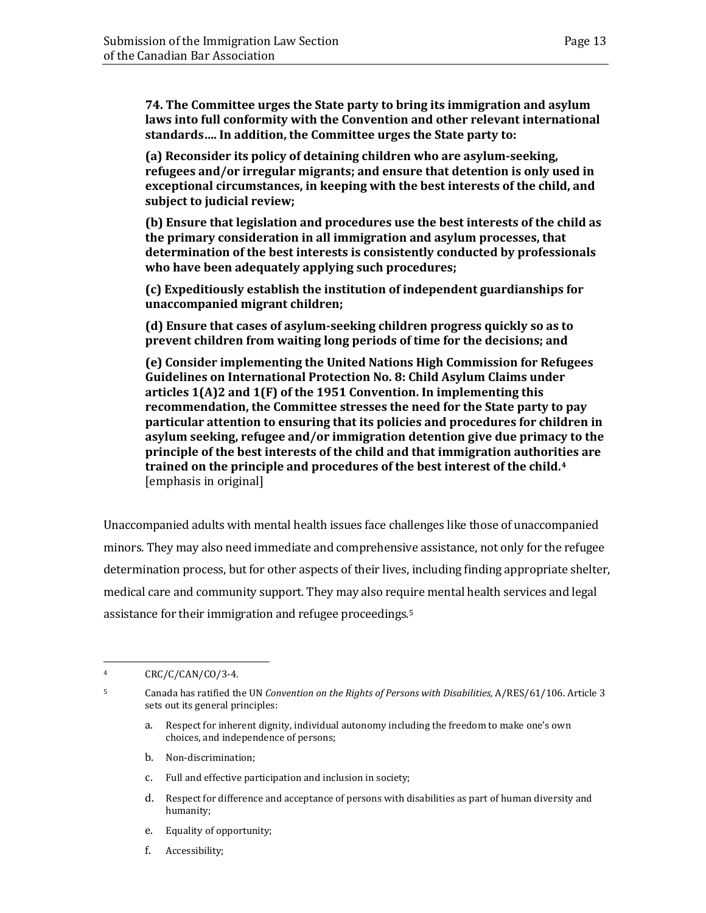**74. The Committee urges the State party to bring its immigration and asylum laws into full conformity with the Convention and other relevant international standards…. In addition, the Committee urges the State party to:** 

**(a) Reconsider its policy of detaining children who are asylum-seeking, refugees and/or irregular migrants; and ensure that detention is only used in exceptional circumstances, in keeping with the best interests of the child, and subject to judicial review;** 

**(b) Ensure that legislation and procedures use the best interests of the child as the primary consideration in all immigration and asylum processes, that determination of the best interests is consistently conducted by professionals who have been adequately applying such procedures;** 

**(c) Expeditiously establish the institution of independent guardianships for unaccompanied migrant children;** 

**(d) Ensure that cases of asylum-seeking children progress quickly so as to prevent children from waiting long periods of time for the decisions; and** 

**(e) Consider implementing the United Nations High Commission for Refugees Guidelines on International Protection No. 8: Child Asylum Claims under articles 1(A)2 and 1(F) of the 1951 Convention. In implementing this recommendation, the Committee stresses the need for the State party to pay particular attention to ensuring that its policies and procedures for children in asylum seeking, refugee and/or immigration detention give due primacy to the principle of the best interests of the child and that immigration authorities are trained on the principle and procedures of the best interest of the child.[4](#page-16-0)** [emphasis in original]

Unaccompanied adults with mental health issues face challenges like those of unaccompanied minors. They may also need immediate and comprehensive assistance, not only for the refugee determination process, but for other aspects of their lives, including finding appropriate shelter, medical care and community support. They may also require mental health services and legal assistance for their immigration and refugee proceedings.[5](#page-16-1)

- a. Respect for inherent dignity, individual autonomy including the freedom to make one's own choices, and independence of persons;
- b. Non-discrimination;
- c. Full and effective participation and inclusion in society;
- d. Respect for difference and acceptance of persons with disabilities as part of human diversity and humanity;
- e. Equality of opportunity;
- f. Accessibility;

<span id="page-16-0"></span> $\overline{4}$  $CRC/C/CAN/CO/3-4.$ 

<span id="page-16-1"></span><sup>5</sup> Canada has ratified the UN *Convention on the Rights of Persons with Disabilities,* A/RES/61/106. Article 3 sets out its general principles: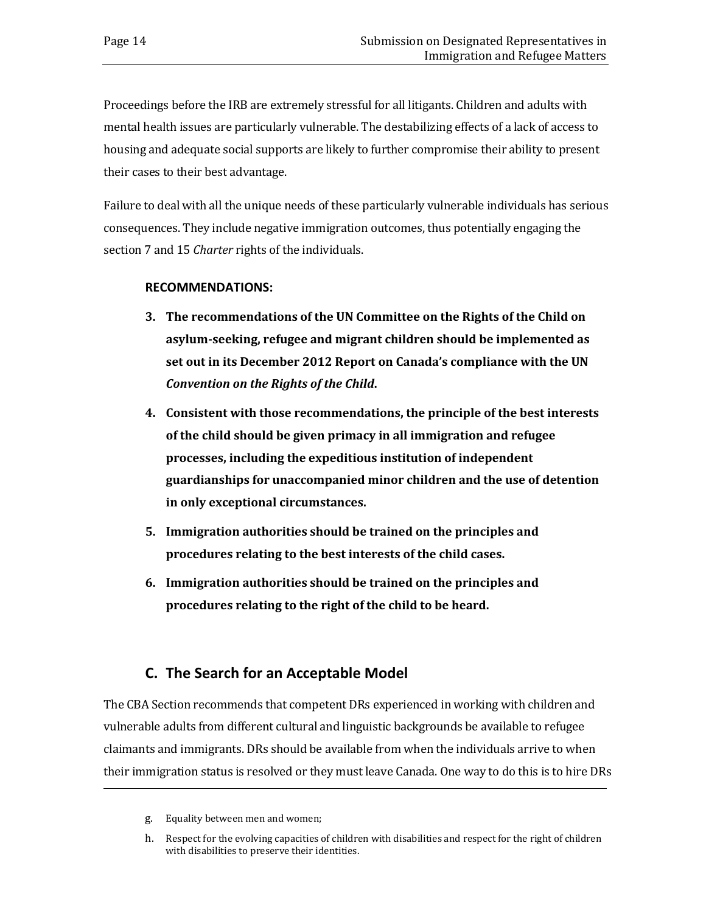Proceedings before the IRB are extremely stressful for all litigants. Children and adults with mental health issues are particularly vulnerable. The destabilizing effects of a lack of access to housing and adequate social supports are likely to further compromise their ability to present their cases to their best advantage.

Failure to deal with all the unique needs of these particularly vulnerable individuals has serious consequences. They include negative immigration outcomes, thus potentially engaging the section 7 and 15 *Charter* rights of the individuals.

### **RECOMMENDATIONS:**

- **3. The recommendations of the UN Committee on the Rights of the Child on asylum-seeking, refugee and migrant children should be implemented as set out in its December 2012 Report on Canada's compliance with the UN** *Convention on the Rights of the Child***.**
- **4. Consistent with those recommendations, the principle of the best interests of the child should be given primacy in all immigration and refugee processes, including the expeditious institution of independent guardianships for unaccompanied minor children and the use of detention in only exceptional circumstances.**
- **5. Immigration authorities should be trained on the principles and procedures relating to the best interests of the child cases.**
- **6. Immigration authorities should be trained on the principles and procedures relating to the right of the child to be heard.**

## **C. The Search for an Acceptable Model**

<span id="page-17-0"></span>The CBA Section recommends that competent DRs experienced in working with children and vulnerable adults from different cultural and linguistic backgrounds be available to refugee claimants and immigrants. DRs should be available from when the individuals arrive to when their immigration status is resolved or they must leave Canada. One way to do this is to hire DRs

i<br>I

g. Equality between men and women;

h. Respect for the evolving capacities of children with disabilities and respect for the right of children with disabilities to preserve their identities.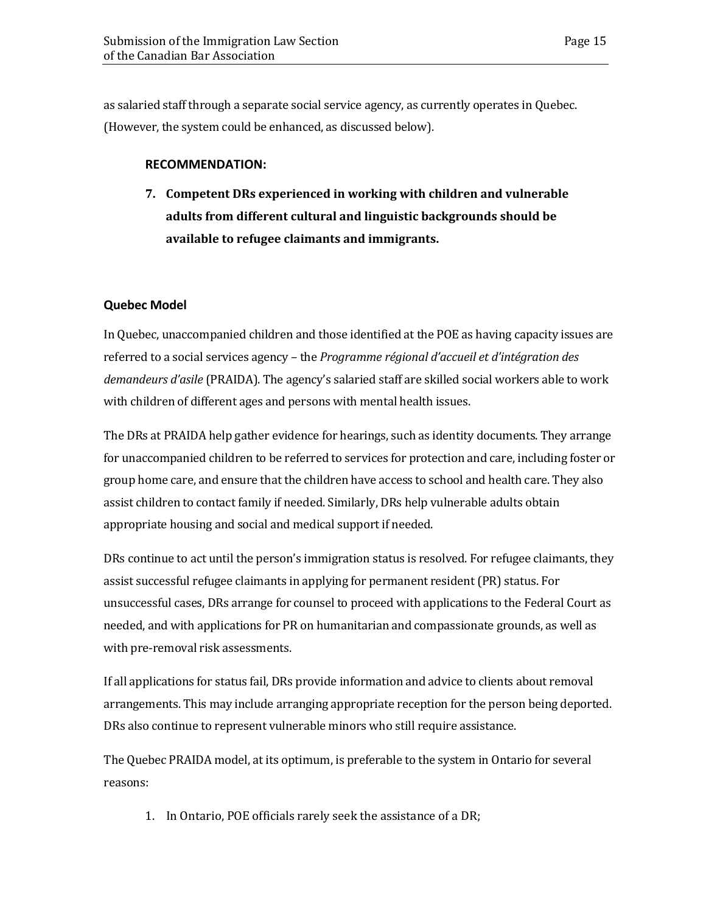as salaried staff through a separate social service agency, as currently operates in Quebec. (However, the system could be enhanced, as discussed below).

### **RECOMMENDATION:**

**7. Competent DRs experienced in working with children and vulnerable adults from different cultural and linguistic backgrounds should be available to refugee claimants and immigrants.** 

### <span id="page-18-0"></span>**Quebec Model**

In Quebec, unaccompanied children and those identified at the POE as having capacity issues are referred to a social services agency – the *Programme régional d'accueil et d'intégration des demandeurs d'asile* (PRAIDA). The agency's salaried staff are skilled social workers able to work with children of different ages and persons with mental health issues.

The DRs at PRAIDA help gather evidence for hearings, such as identity documents. They arrange for unaccompanied children to be referred to services for protection and care, including foster or group home care, and ensure that the children have access to school and health care. They also assist children to contact family if needed. Similarly, DRs help vulnerable adults obtain appropriate housing and social and medical support if needed.

DRs continue to act until the person's immigration status is resolved. For refugee claimants, they assist successful refugee claimants in applying for permanent resident (PR) status. For unsuccessful cases, DRs arrange for counsel to proceed with applications to the Federal Court as needed, and with applications for PR on humanitarian and compassionate grounds, as well as with pre-removal risk assessments.

If all applications for status fail, DRs provide information and advice to clients about removal arrangements. This may include arranging appropriate reception for the person being deported. DRs also continue to represent vulnerable minors who still require assistance.

The Quebec PRAIDA model, at its optimum, is preferable to the system in Ontario for several reasons:

1. In Ontario, POE officials rarely seek the assistance of a DR;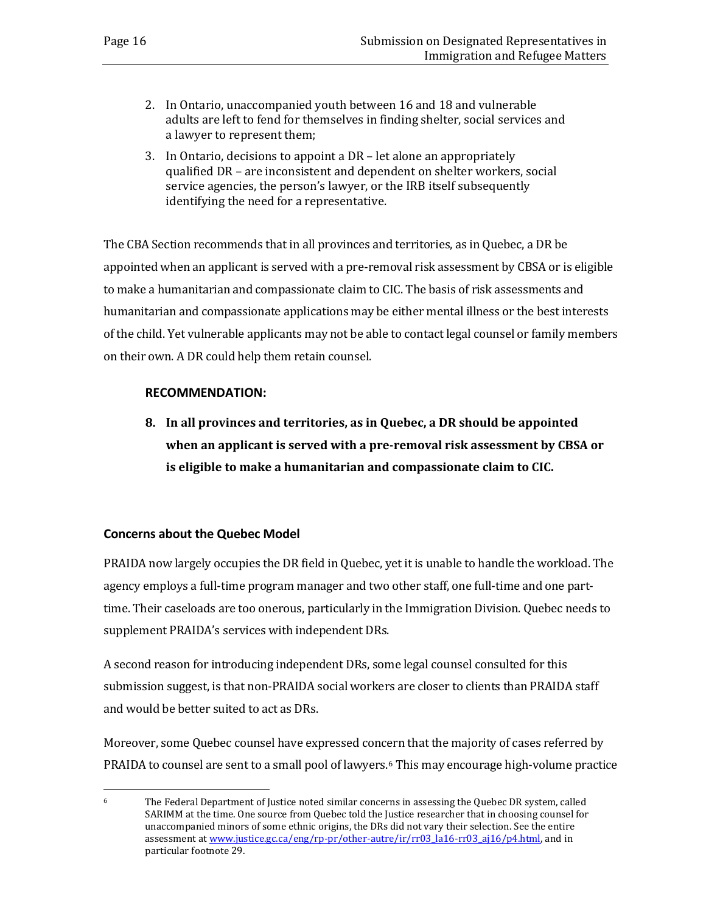- 2. In Ontario, unaccompanied youth between 16 and 18 and vulnerable adults are left to fend for themselves in finding shelter, social services and a lawyer to represent them;
- 3. In Ontario, decisions to appoint a DR let alone an appropriately qualified DR – are inconsistent and dependent on shelter workers, social service agencies, the person's lawyer, or the IRB itself subsequently identifying the need for a representative.

The CBA Section recommends that in all provinces and territories, as in Quebec, a DR be appointed when an applicant is served with a pre-removal risk assessment by CBSA or is eligible to make a humanitarian and compassionate claim to CIC. The basis of risk assessments and humanitarian and compassionate applications may be either mental illness or the best interests of the child. Yet vulnerable applicants may not be able to contact legal counsel or family members on their own. A DR could help them retain counsel.

### **RECOMMENDATION:**

**8. In all provinces and territories, as in Quebec, a DR should be appointed when an applicant is served with a pre-removal risk assessment by CBSA or is eligible to make a humanitarian and compassionate claim to CIC.**

### <span id="page-19-0"></span>**Concerns about the Quebec Model**

PRAIDA now largely occupies the DR field in Quebec, yet it is unable to handle the workload. The agency employs a full-time program manager and two other staff, one full-time and one parttime. Their caseloads are too onerous, particularly in the Immigration Division. Quebec needs to supplement PRAIDA's services with independent DRs.

A second reason for introducing independent DRs, some legal counsel consulted for this submission suggest, is that non-PRAIDA social workers are closer to clients than PRAIDA staff and would be better suited to act as DRs.

Moreover, some Quebec counsel have expressed concern that the majority of cases referred by PRAIDA to counsel are sent to a small pool of lawyers.<sup>[6](#page-19-1)</sup> This may encourage high-volume practice

<span id="page-19-1"></span><sup>6</sup> The Federal Department of Justice noted similar concerns in assessing the Quebec DR system, called SARIMM at the time. One source from Quebec told the Justice researcher that in choosing counsel for unaccompanied minors of some ethnic origins, the DRs did not vary their selection. See the entire assessment at [www.justice.gc.ca/eng/rp-pr/other-autre/ir/rr03\\_la16-rr03\\_aj16/p4.html,](http://www.justice.gc.ca/eng/rp-pr/other-autre/ir/rr03_la16-rr03_aj16/p4.html) and in particular footnote 29.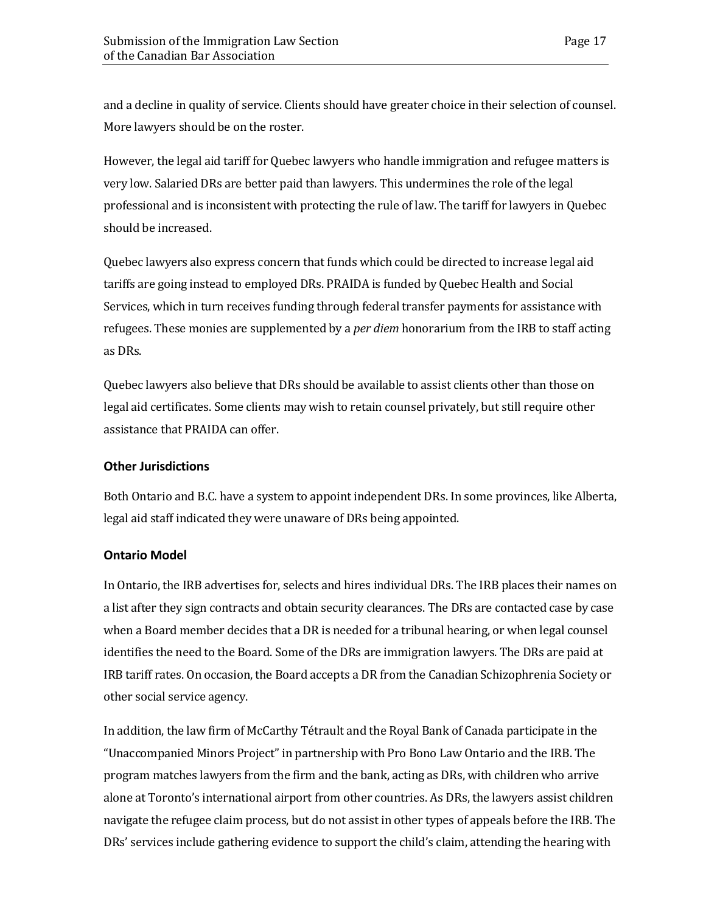and a decline in quality of service. Clients should have greater choice in their selection of counsel. More lawyers should be on the roster.

However, the legal aid tariff for Quebec lawyers who handle immigration and refugee matters is very low. Salaried DRs are better paid than lawyers. This undermines the role of the legal professional and is inconsistent with protecting the rule of law. The tariff for lawyers in Quebec should be increased.

Quebec lawyers also express concern that funds which could be directed to increase legal aid tariffs are going instead to employed DRs. PRAIDA is funded by Quebec Health and Social Services, which in turn receives funding through federal transfer payments for assistance with refugees. These monies are supplemented by a *per diem* honorarium from the IRB to staff acting as DRs.

Quebec lawyers also believe that DRs should be available to assist clients other than those on legal aid certificates. Some clients may wish to retain counsel privately, but still require other assistance that PRAIDA can offer.

### <span id="page-20-0"></span>**Other Jurisdictions**

Both Ontario and B.C. have a system to appoint independent DRs. In some provinces, like Alberta, legal aid staff indicated they were unaware of DRs being appointed.

#### <span id="page-20-1"></span>**Ontario Model**

In Ontario, the IRB advertises for, selects and hires individual DRs. The IRB places their names on a list after they sign contracts and obtain security clearances. The DRs are contacted case by case when a Board member decides that a DR is needed for a tribunal hearing, or when legal counsel identifies the need to the Board. Some of the DRs are immigration lawyers. The DRs are paid at IRB tariff rates. On occasion, the Board accepts a DR from the Canadian Schizophrenia Society or other social service agency.

In addition, the law firm of McCarthy Tétrault and the Royal Bank of Canada participate in the "Unaccompanied Minors Project" in partnership with Pro Bono Law Ontario and the IRB. The program matches lawyers from the firm and the bank, acting as DRs, with children who arrive alone at Toronto's international airport from other countries. As DRs, the lawyers assist children navigate the refugee claim process, but do not assist in other types of appeals before the IRB. The DRs' services include gathering evidence to support the child's claim, attending the hearing with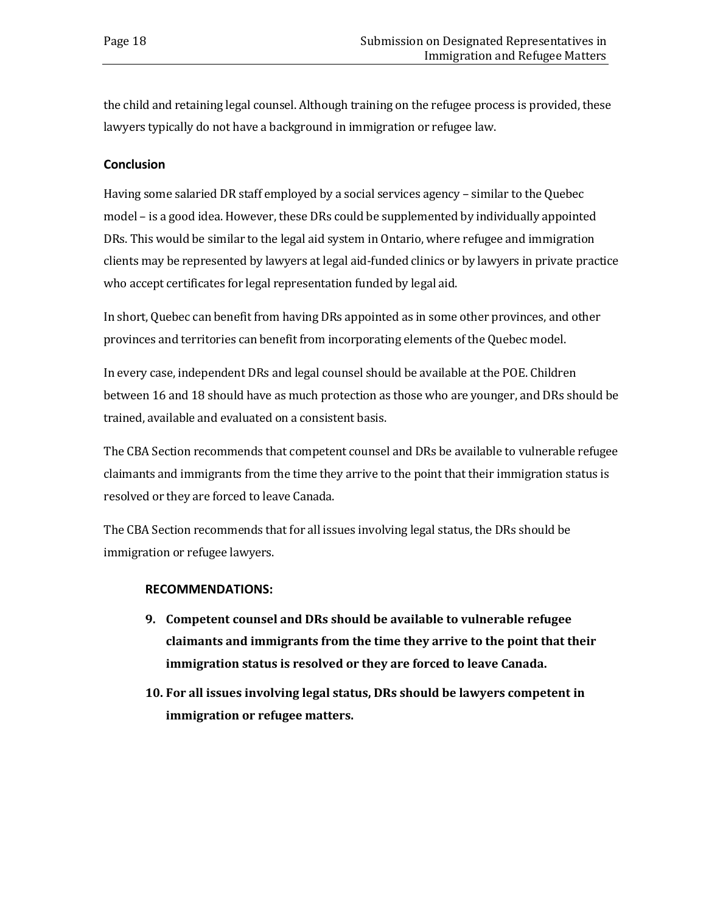the child and retaining legal counsel. Although training on the refugee process is provided, these lawyers typically do not have a background in immigration or refugee law.

### <span id="page-21-0"></span>**Conclusion**

Having some salaried DR staff employed by a social services agency – similar to the Quebec model – is a good idea. However, these DRs could be supplemented by individually appointed DRs. This would be similar to the legal aid system in Ontario, where refugee and immigration clients may be represented by lawyers at legal aid-funded clinics or by lawyers in private practice who accept certificates for legal representation funded by legal aid.

In short, Quebec can benefit from having DRs appointed as in some other provinces, and other provinces and territories can benefit from incorporating elements of the Quebec model.

In every case, independent DRs and legal counsel should be available at the POE. Children between 16 and 18 should have as much protection as those who are younger, and DRs should be trained, available and evaluated on a consistent basis.

The CBA Section recommends that competent counsel and DRs be available to vulnerable refugee claimants and immigrants from the time they arrive to the point that their immigration status is resolved or they are forced to leave Canada.

The CBA Section recommends that for all issues involving legal status, the DRs should be immigration or refugee lawyers.

### **RECOMMENDATIONS:**

- **9. Competent counsel and DRs should be available to vulnerable refugee claimants and immigrants from the time they arrive to the point that their immigration status is resolved or they are forced to leave Canada.**
- **10. For all issues involving legal status, DRs should be lawyers competent in immigration or refugee matters.**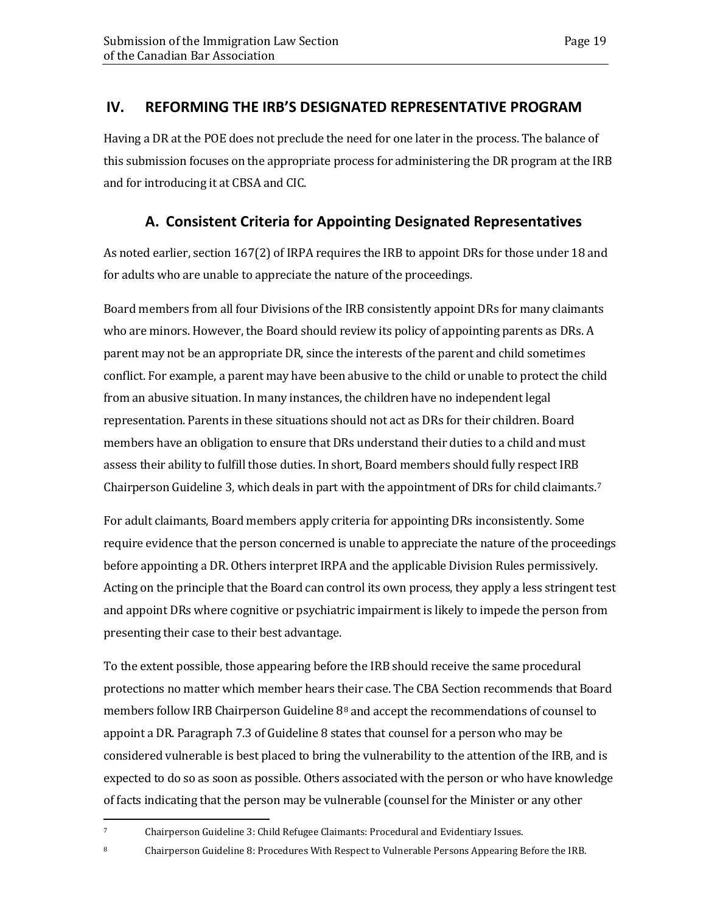## <span id="page-22-0"></span>**IV. REFORMING THE IRB'S DESIGNATED REPRESENTATIVE PROGRAM**

Having a DR at the POE does not preclude the need for one later in the process. The balance of this submission focuses on the appropriate process for administering the DR program at the IRB and for introducing it at CBSA and CIC.

## **A. Consistent Criteria for Appointing Designated Representatives**

<span id="page-22-1"></span>As noted earlier, section 167(2) of IRPA requires the IRB to appoint DRs for those under 18 and for adults who are unable to appreciate the nature of the proceedings.

Board members from all four Divisions of the IRB consistently appoint DRs for many claimants who are minors. However, the Board should review its policy of appointing parents as DRs. A parent may not be an appropriate DR, since the interests of the parent and child sometimes conflict. For example, a parent may have been abusive to the child or unable to protect the child from an abusive situation. In many instances, the children have no independent legal representation. Parents in these situations should not act as DRs for their children. Board members have an obligation to ensure that DRs understand their duties to a child and must assess their ability to fulfill those duties. In short, Board members should fully respect IRB Chairperson Guideline 3, which deals in part with the appointment of DRs for child claimants.[7](#page-22-2)

For adult claimants, Board members apply criteria for appointing DRs inconsistently. Some require evidence that the person concerned is unable to appreciate the nature of the proceedings before appointing a DR. Others interpret IRPA and the applicable Division Rules permissively. Acting on the principle that the Board can control its own process, they apply a less stringent test and appoint DRs where cognitive or psychiatric impairment is likely to impede the person from presenting their case to their best advantage.

To the extent possible, those appearing before the IRB should receive the same procedural protections no matter which member hears their case. The CBA Section recommends that Board members follow IRB Chairperson Guideline 8[8](#page-22-3) and accept the recommendations of counsel to appoint a DR. Paragraph 7.3 of Guideline 8 states that counsel for a person who may be considered vulnerable is best placed to bring the vulnerability to the attention of the IRB, and is expected to do so as soon as possible. Others associated with the person or who have knowledge of facts indicating that the person may be vulnerable (counsel for the Minister or any other

<span id="page-22-3"></span>8 Chairperson Guideline 8: Procedures With Respect to Vulnerable Persons Appearing Before the IRB.

<span id="page-22-2"></span> $\overline{7}$ <sup>7</sup> Chairperson Guideline 3: Child Refugee Claimants: Procedural and Evidentiary Issues.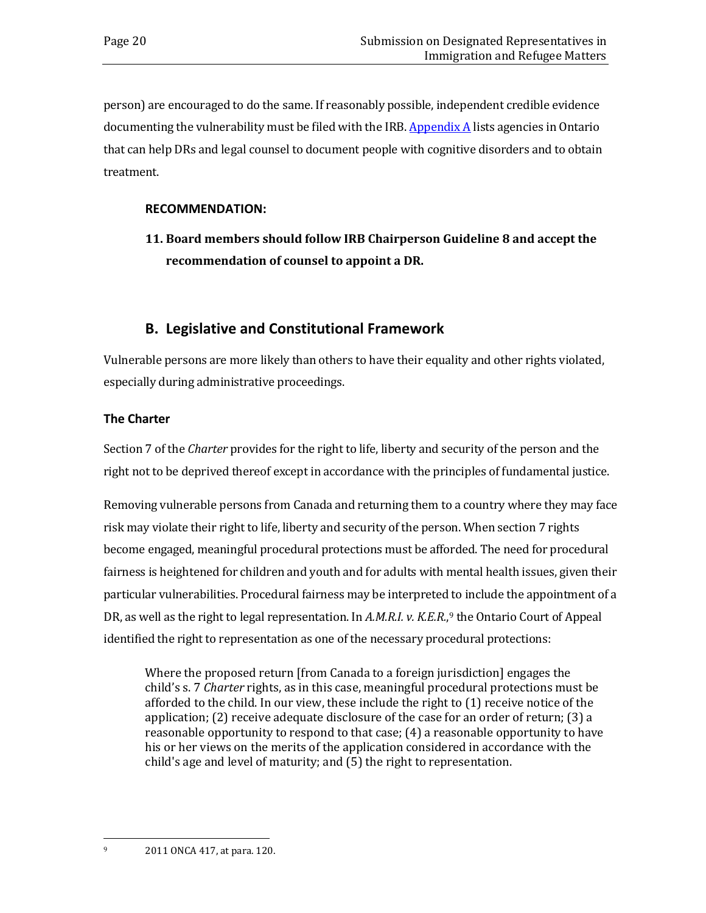person) are encouraged to do the same. If reasonably possible, independent credible evidence documenting the vulnerability must be filed with the IRB.  $\Delta$ ppendix  $\Delta$  lists agencies in Ontario that can help DRs and legal counsel to document people with cognitive disorders and to obtain treatment.

### **RECOMMENDATION:**

**11. Board members should follow IRB Chairperson Guideline 8 and accept the recommendation of counsel to appoint a DR.**

## **B. Legislative and Constitutional Framework**

<span id="page-23-0"></span>Vulnerable persons are more likely than others to have their equality and other rights violated, especially during administrative proceedings.

### <span id="page-23-1"></span>**The Charter**

Section 7 of the *Charter* provides for the right to life, liberty and security of the person and the right not to be deprived thereof except in accordance with the principles of fundamental justice.

Removing vulnerable persons from Canada and returning them to a country where they may face risk may violate their right to life, liberty and security of the person. When section 7 rights become engaged, meaningful procedural protections must be afforded. The need for procedural fairness is heightened for children and youth and for adults with mental health issues, given their particular vulnerabilities. Procedural fairness may be interpreted to include the appointment of a DR, as well as the right to legal representation. In A.M.R.I. v. K.E.R.,<sup>[9](#page-23-2)</sup> the Ontario Court of Appeal identified the right to representation as one of the necessary procedural protections:

<span id="page-23-2"></span>Where the proposed return [from Canada to a foreign jurisdiction] engages the child's s. 7 *Charter* rights, as in this case, meaningful procedural protections must be afforded to the child. In our view, these include the right to (1) receive notice of the application; (2) receive adequate disclosure of the case for an order of return; (3) a reasonable opportunity to respond to that case; (4) a reasonable opportunity to have his or her views on the merits of the application considered in accordance with the child's age and level of maturity; and (5) the right to representation.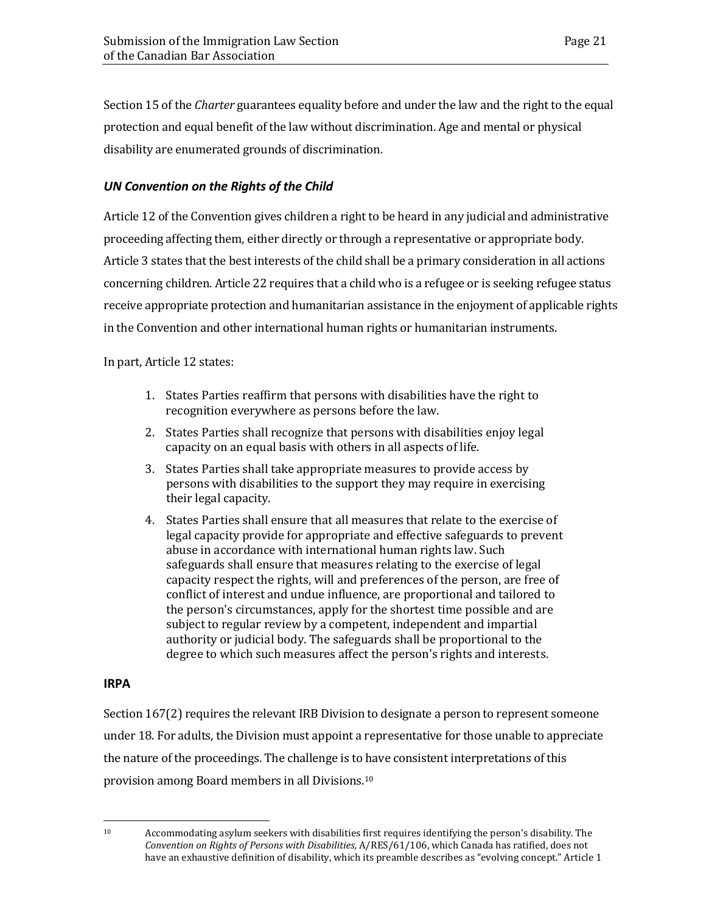Section 15 of the *Charter* guarantees equality before and under the law and the right to the equal protection and equal benefit of the law without discrimination. Age and mental or physical disability are enumerated grounds of discrimination.

### <span id="page-24-0"></span>*UN Convention on the Rights of the Child*

Article 12 of the Convention gives children a right to be heard in any judicial and administrative proceeding affecting them, either directly or through a representative or appropriate body. Article 3 states that the best interests of the child shall be a primary consideration in all actions concerning children. Article 22 requires that a child who is a refugee or is seeking refugee status receive appropriate protection and humanitarian assistance in the enjoyment of applicable rights in the Convention and other international human rights or humanitarian instruments.

In part, Article 12 states:

- 1. States Parties reaffirm that persons with disabilities have the right to recognition everywhere as persons before the law.
- 2. States Parties shall recognize that persons with disabilities enjoy legal capacity on an equal basis with others in all aspects of life.
- 3. States Parties shall take appropriate measures to provide access by persons with disabilities to the support they may require in exercising their legal capacity.
- 4. States Parties shall ensure that all measures that relate to the exercise of legal capacity provide for appropriate and effective safeguards to prevent abuse in accordance with international human rights law. Such safeguards shall ensure that measures relating to the exercise of legal capacity respect the rights, will and preferences of the person, are free of conflict of interest and undue influence, are proportional and tailored to the person's circumstances, apply for the shortest time possible and are subject to regular review by a competent, independent and impartial authority or judicial body. The safeguards shall be proportional to the degree to which such measures affect the person's rights and interests.

#### <span id="page-24-1"></span>**IRPA**

Section 167(2) requires the relevant IRB Division to designate a person to represent someone under 18. For adults, the Division must appoint a representative for those unable to appreciate the nature of the proceedings. The challenge is to have consistent interpretations of this provision among Board members in all Divisions[.10](#page-24-2)

<span id="page-24-2"></span><sup>10</sup> Accommodating asylum seekers with disabilities first requires identifying the person's disability. The *Convention on Rights of Persons with Disabilities,* A/RES/61/106, which Canada has ratified, does not have an exhaustive definition of disability, which its preamble describes as "evolving concept." Article 1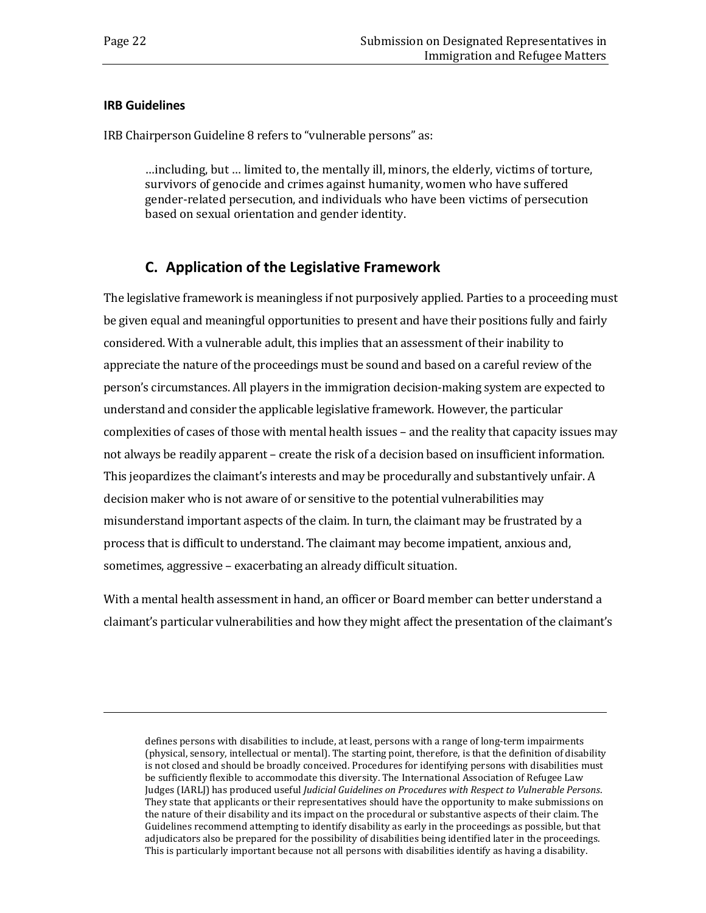i<br>I

### <span id="page-25-0"></span>**IRB Guidelines**

IRB Chairperson Guideline 8 refers to "vulnerable persons" as:

…including, but … limited to, the mentally ill, minors, the elderly, victims of torture, survivors of genocide and crimes against humanity, women who have suffered gender-related persecution, and individuals who have been victims of persecution based on sexual orientation and gender identity.

## **C. Application of the Legislative Framework**

<span id="page-25-1"></span>The legislative framework is meaningless if not purposively applied. Parties to a proceeding must be given equal and meaningful opportunities to present and have their positions fully and fairly considered. With a vulnerable adult, this implies that an assessment of their inability to appreciate the nature of the proceedings must be sound and based on a careful review of the person's circumstances. All players in the immigration decision-making system are expected to understand and consider the applicable legislative framework. However, the particular complexities of cases of those with mental health issues – and the reality that capacity issues may not always be readily apparent – create the risk of a decision based on insufficient information. This jeopardizes the claimant's interests and may be procedurally and substantively unfair. A decision maker who is not aware of or sensitive to the potential vulnerabilities may misunderstand important aspects of the claim. In turn, the claimant may be frustrated by a process that is difficult to understand. The claimant may become impatient, anxious and, sometimes, aggressive – exacerbating an already difficult situation.

With a mental health assessment in hand, an officer or Board member can better understand a claimant's particular vulnerabilities and how they might affect the presentation of the claimant's

defines persons with disabilities to include, at least, persons with a range of long-term impairments (physical, sensory, intellectual or mental). The starting point, therefore, is that the definition of disability is not closed and should be broadly conceived. Procedures for identifying persons with disabilities must be sufficiently flexible to accommodate this diversity. The International Association of Refugee Law Judges (IARLJ) has produced useful *Judicial Guidelines on Procedures with Respect to Vulnerable Persons*. They state that applicants or their representatives should have the opportunity to make submissions on the nature of their disability and its impact on the procedural or substantive aspects of their claim. The Guidelines recommend attempting to identify disability as early in the proceedings as possible, but that adjudicators also be prepared for the possibility of disabilities being identified later in the proceedings. This is particularly important because not all persons with disabilities identify as having a disability.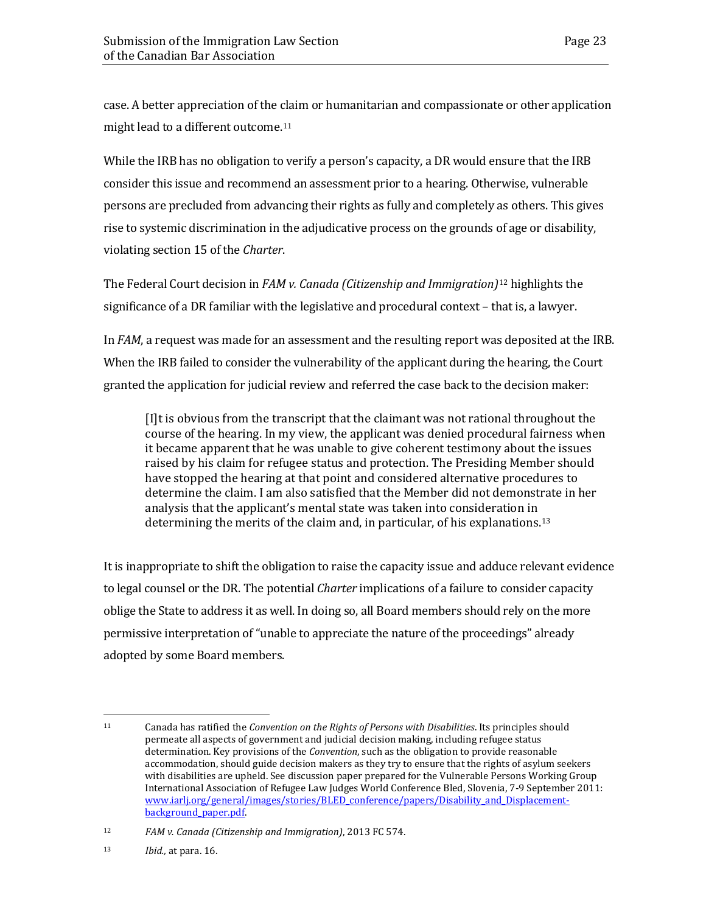case. A better appreciation of the claim or humanitarian and compassionate or other application might lead to a different outcome.<sup>[11](#page-26-0)</sup>

While the IRB has no obligation to verify a person's capacity, a DR would ensure that the IRB consider this issue and recommend an assessment prior to a hearing. Otherwise, vulnerable persons are precluded from advancing their rights as fully and completely as others. This gives rise to systemic discrimination in the adjudicative process on the grounds of age or disability, violating section 15 of the *Charter*.

The Federal Court decision in *FAM v. Canada (Citizenship and Immigration)*[12](#page-26-1) highlights the significance of a DR familiar with the legislative and procedural context – that is, a lawyer.

In *FAM*, a request was made for an assessment and the resulting report was deposited at the IRB. When the IRB failed to consider the vulnerability of the applicant during the hearing, the Court granted the application for judicial review and referred the case back to the decision maker:

[I]t is obvious from the transcript that the claimant was not rational throughout the course of the hearing. In my view, the applicant was denied procedural fairness when it became apparent that he was unable to give coherent testimony about the issues raised by his claim for refugee status and protection. The Presiding Member should have stopped the hearing at that point and considered alternative procedures to determine the claim. I am also satisfied that the Member did not demonstrate in her analysis that the applicant's mental state was taken into consideration in determining the merits of the claim and, in particular, of his explanations.[13](#page-26-2)

It is inappropriate to shift the obligation to raise the capacity issue and adduce relevant evidence to legal counsel or the DR. The potential *Charter* implications of a failure to consider capacity oblige the State to address it as well. In doing so, all Board members should rely on the more permissive interpretation of "unable to appreciate the nature of the proceedings" already adopted by some Board members.

<span id="page-26-0"></span><sup>11</sup> <sup>11</sup> Canada has ratified the *Convention on the Rights of Persons with Disabilities*. Its principles should permeate all aspects of government and judicial decision making, including refugee status determination. Key provisions of the *Convention*, such as the obligation to provide reasonable accommodation, should guide decision makers as they try to ensure that the rights of asylum seekers with disabilities are upheld. See discussion paper prepared for the Vulnerable Persons Working Group International Association of Refugee Law Judges World Conference Bled, Slovenia, 7-9 September 2011: [www.iarlj.org/general/images/stories/BLED\\_conference/papers/Disability\\_and\\_Displacement](https://www.iarlj.org/general/images/stories/bled_conference/papers/disability_and_displacement-background_paper.pdf)[background\\_paper.pdf.](https://www.iarlj.org/general/images/stories/bled_conference/papers/disability_and_displacement-background_paper.pdf)

<span id="page-26-1"></span><sup>12</sup> *FAM v. Canada (Citizenship and Immigration)*, 2013 FC 574.

<span id="page-26-2"></span><sup>13</sup> *Ibid.,* at para. 16.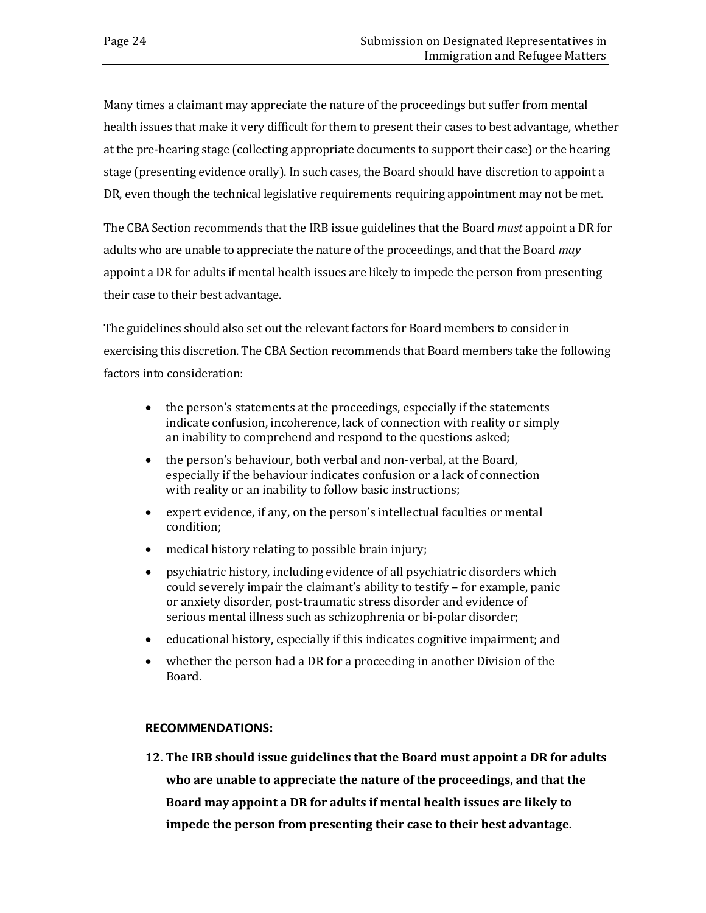Many times a claimant may appreciate the nature of the proceedings but suffer from mental health issues that make it very difficult for them to present their cases to best advantage, whether at the pre-hearing stage (collecting appropriate documents to support their case) or the hearing stage (presenting evidence orally). In such cases, the Board should have discretion to appoint a DR, even though the technical legislative requirements requiring appointment may not be met.

The CBA Section recommends that the IRB issue guidelines that the Board *must* appoint a DR for adults who are unable to appreciate the nature of the proceedings, and that the Board *may*  appoint a DR for adults if mental health issues are likely to impede the person from presenting their case to their best advantage.

The guidelines should also set out the relevant factors for Board members to consider in exercising this discretion. The CBA Section recommends that Board members take the following factors into consideration:

- the person's statements at the proceedings, especially if the statements indicate confusion, incoherence, lack of connection with reality or simply an inability to comprehend and respond to the questions asked;
- the person's behaviour, both verbal and non-verbal, at the Board, especially if the behaviour indicates confusion or a lack of connection with reality or an inability to follow basic instructions;
- expert evidence, if any, on the person's intellectual faculties or mental condition;
- medical history relating to possible brain injury;
- psychiatric history, including evidence of all psychiatric disorders which could severely impair the claimant's ability to testify – for example, panic or anxiety disorder, post-traumatic stress disorder and evidence of serious mental illness such as schizophrenia or bi-polar disorder;
- educational history, especially if this indicates cognitive impairment; and
- whether the person had a DR for a proceeding in another Division of the Board.

### **RECOMMENDATIONS:**

**12. The IRB should issue guidelines that the Board must appoint a DR for adults who are unable to appreciate the nature of the proceedings, and that the Board may appoint a DR for adults if mental health issues are likely to impede the person from presenting their case to their best advantage.**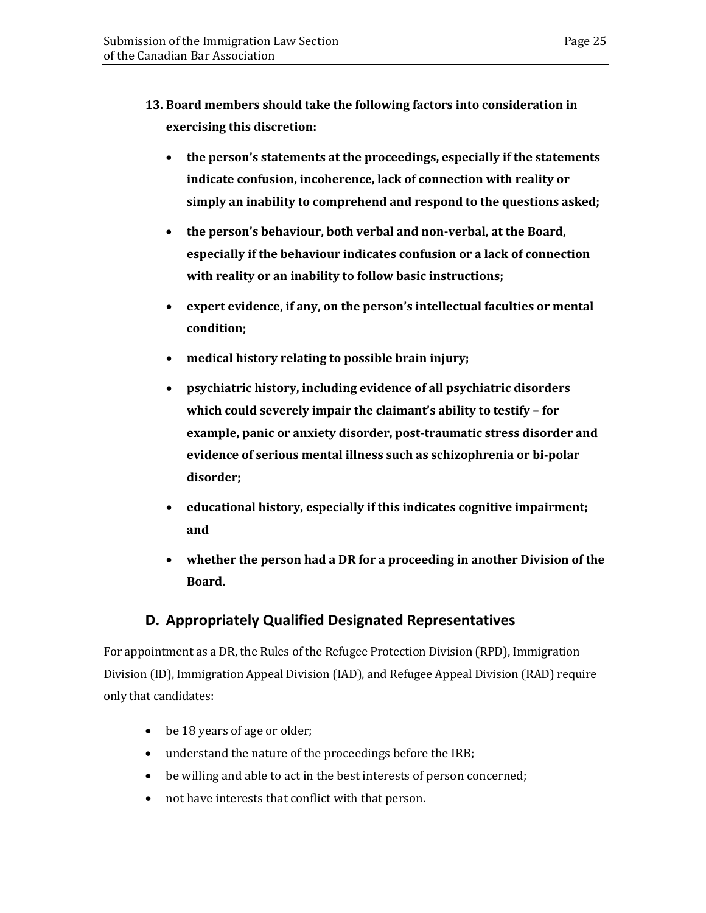- **13. Board members should take the following factors into consideration in exercising this discretion:** 
	- **the person's statements at the proceedings, especially if the statements indicate confusion, incoherence, lack of connection with reality or simply an inability to comprehend and respond to the questions asked;**
	- **the person's behaviour, both verbal and non-verbal, at the Board, especially if the behaviour indicates confusion or a lack of connection with reality or an inability to follow basic instructions;**
	- **expert evidence, if any, on the person's intellectual faculties or mental condition;**
	- **medical history relating to possible brain injury;**
	- **psychiatric history, including evidence of all psychiatric disorders which could severely impair the claimant's ability to testify – for example, panic or anxiety disorder, post-traumatic stress disorder and evidence of serious mental illness such as schizophrenia or bi-polar disorder;**
	- **educational history, especially if this indicates cognitive impairment; and**
	- **whether the person had a DR for a proceeding in another Division of the Board.**

## **D. Appropriately Qualified Designated Representatives**

<span id="page-28-0"></span>For appointment as a DR, the Rules of the Refugee Protection Division (RPD), Immigration Division (ID), Immigration Appeal Division (IAD), and Refugee Appeal Division (RAD) require only that candidates:

- be 18 years of age or older;
- understand the nature of the proceedings before the IRB;
- be willing and able to act in the best interests of person concerned;
- not have interests that conflict with that person.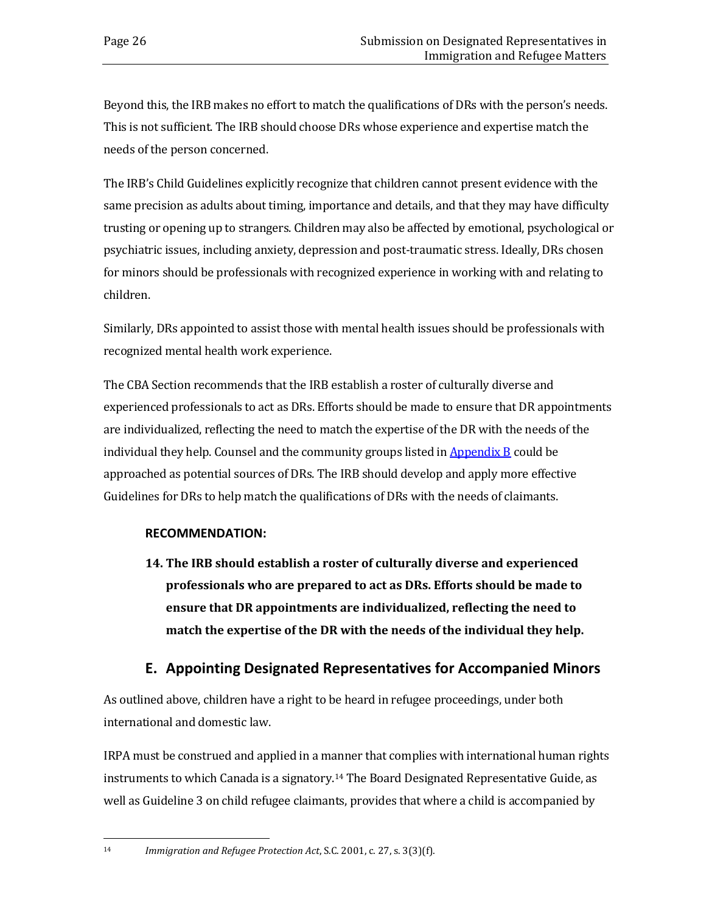Beyond this, the IRB makes no effort to match the qualifications of DRs with the person's needs. This is not sufficient. The IRB should choose DRs whose experience and expertise match the needs of the person concerned.

The IRB's Child Guidelines explicitly recognize that children cannot present evidence with the same precision as adults about timing, importance and details, and that they may have difficulty trusting or opening up to strangers. Children may also be affected by emotional, psychological or psychiatric issues, including anxiety, depression and post-traumatic stress. Ideally, DRs chosen for minors should be professionals with recognized experience in working with and relating to children.

Similarly, DRs appointed to assist those with mental health issues should be professionals with recognized mental health work experience.

The CBA Section recommends that the IRB establish a roster of culturally diverse and experienced professionals to act as DRs. Efforts should be made to ensure that DR appointments are individualized, reflecting the need to match the expertise of the DR with the needs of the individual they help. Counsel and the community groups listed in **[Appendix](#page-44-0) B** could be approached as potential sources of DRs. The IRB should develop and apply more effective Guidelines for DRs to help match the qualifications of DRs with the needs of claimants.

### **RECOMMENDATION:**

**14. The IRB should establish a roster of culturally diverse and experienced professionals who are prepared to act as DRs. Efforts should be made to ensure that DR appointments are individualized, reflecting the need to match the expertise of the DR with the needs of the individual they help.** 

## **E. Appointing Designated Representatives for Accompanied Minors**

<span id="page-29-0"></span>As outlined above, children have a right to be heard in refugee proceedings, under both international and domestic law.

IRPA must be construed and applied in a manner that complies with international human rights instruments to which Canada is a signatory.[14](#page-29-1) The Board Designated Representative Guide, as well as Guideline 3 on child refugee claimants, provides that where a child is accompanied by

<span id="page-29-1"></span> $14<sup>14</sup>$ 14 *Immigration and Refugee Protection Act*, S.C. 2001, c. 27, s. 3(3)(f).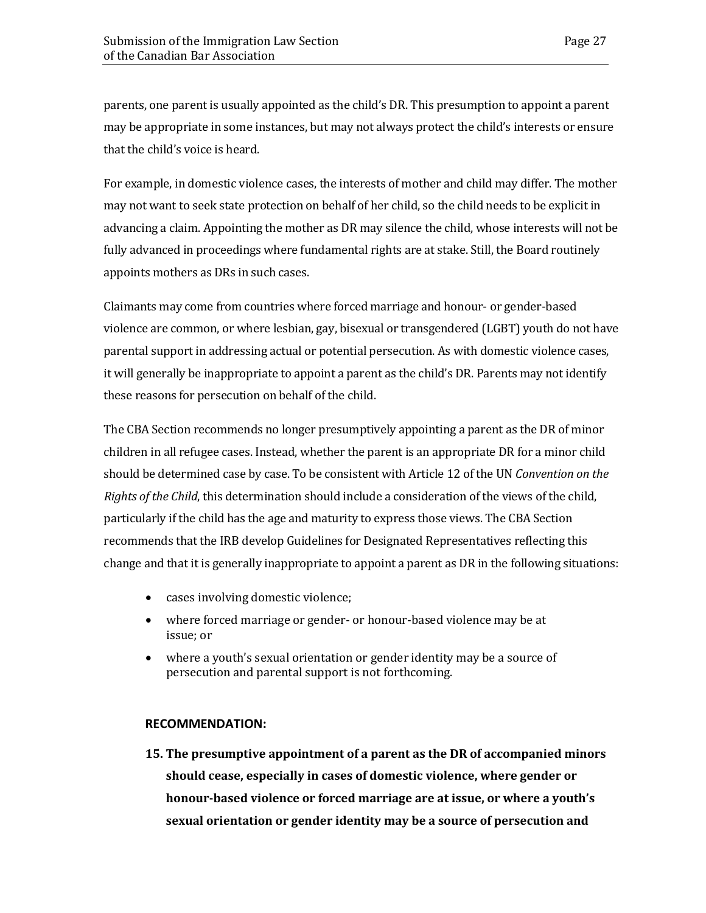parents, one parent is usually appointed as the child's DR. This presumption to appoint a parent may be appropriate in some instances, but may not always protect the child's interests or ensure that the child's voice is heard.

For example, in domestic violence cases, the interests of mother and child may differ. The mother may not want to seek state protection on behalf of her child, so the child needs to be explicit in advancing a claim. Appointing the mother as DR may silence the child, whose interests will not be fully advanced in proceedings where fundamental rights are at stake. Still, the Board routinely appoints mothers as DRs in such cases.

Claimants may come from countries where forced marriage and honour- or gender-based violence are common, or where lesbian, gay, bisexual or transgendered (LGBT) youth do not have parental support in addressing actual or potential persecution. As with domestic violence cases, it will generally be inappropriate to appoint a parent as the child's DR. Parents may not identify these reasons for persecution on behalf of the child.

The CBA Section recommends no longer presumptively appointing a parent as the DR of minor children in all refugee cases. Instead, whether the parent is an appropriate DR for a minor child should be determined case by case. To be consistent with Article 12 of the UN *Convention on the Rights of the Child*, this determination should include a consideration of the views of the child, particularly if the child has the age and maturity to express those views. The CBA Section recommends that the IRB develop Guidelines for Designated Representatives reflecting this change and that it is generally inappropriate to appoint a parent as DR in the following situations:

- cases involving domestic violence;
- where forced marriage or gender- or honour-based violence may be at issue; or
- where a youth's sexual orientation or gender identity may be a source of persecution and parental support is not forthcoming.

#### **RECOMMENDATION:**

**15. The presumptive appointment of a parent as the DR of accompanied minors should cease, especially in cases of domestic violence, where gender or honour-based violence or forced marriage are at issue, or where a youth's sexual orientation or gender identity may be a source of persecution and**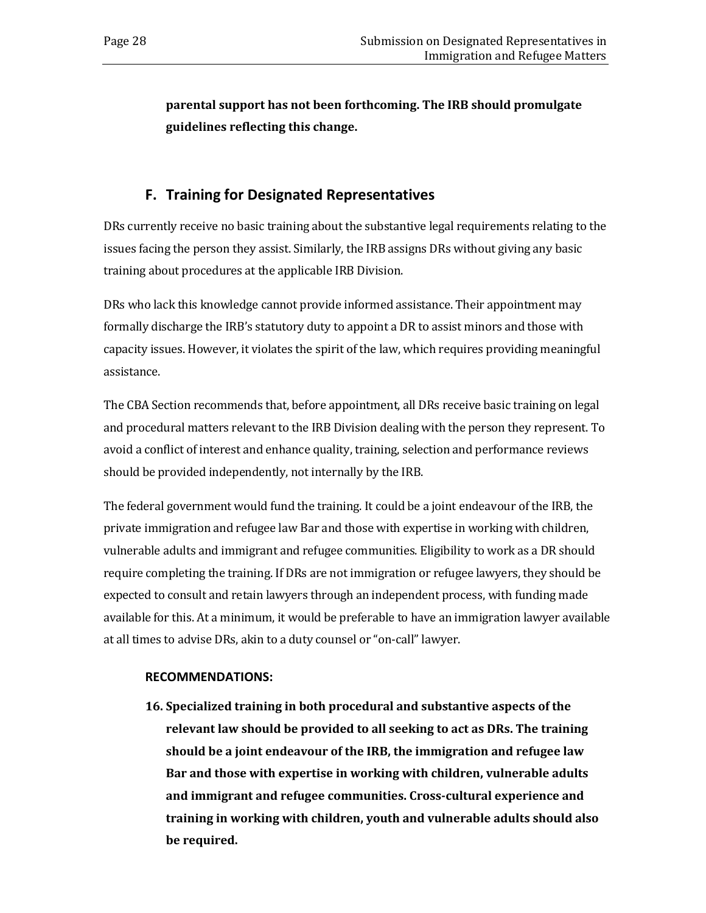**parental support has not been forthcoming. The IRB should promulgate guidelines reflecting this change.** 

## **F. Training for Designated Representatives**

<span id="page-31-0"></span>DRs currently receive no basic training about the substantive legal requirements relating to the issues facing the person they assist. Similarly, the IRB assigns DRs without giving any basic training about procedures at the applicable IRB Division.

DRs who lack this knowledge cannot provide informed assistance. Their appointment may formally discharge the IRB's statutory duty to appoint a DR to assist minors and those with capacity issues. However, it violates the spirit of the law, which requires providing meaningful assistance.

The CBA Section recommends that, before appointment, all DRs receive basic training on legal and procedural matters relevant to the IRB Division dealing with the person they represent. To avoid a conflict of interest and enhance quality, training, selection and performance reviews should be provided independently, not internally by the IRB.

The federal government would fund the training. It could be a joint endeavour of the IRB, the private immigration and refugee law Bar and those with expertise in working with children, vulnerable adults and immigrant and refugee communities. Eligibility to work as a DR should require completing the training. If DRs are not immigration or refugee lawyers, they should be expected to consult and retain lawyers through an independent process, with funding made available for this. At a minimum, it would be preferable to have an immigration lawyer available at all times to advise DRs, akin to a duty counsel or "on-call" lawyer.

### **RECOMMENDATIONS:**

**16. Specialized training in both procedural and substantive aspects of the relevant law should be provided to all seeking to act as DRs. The training should be a joint endeavour of the IRB, the immigration and refugee law Bar and those with expertise in working with children, vulnerable adults and immigrant and refugee communities. Cross-cultural experience and training in working with children, youth and vulnerable adults should also be required.**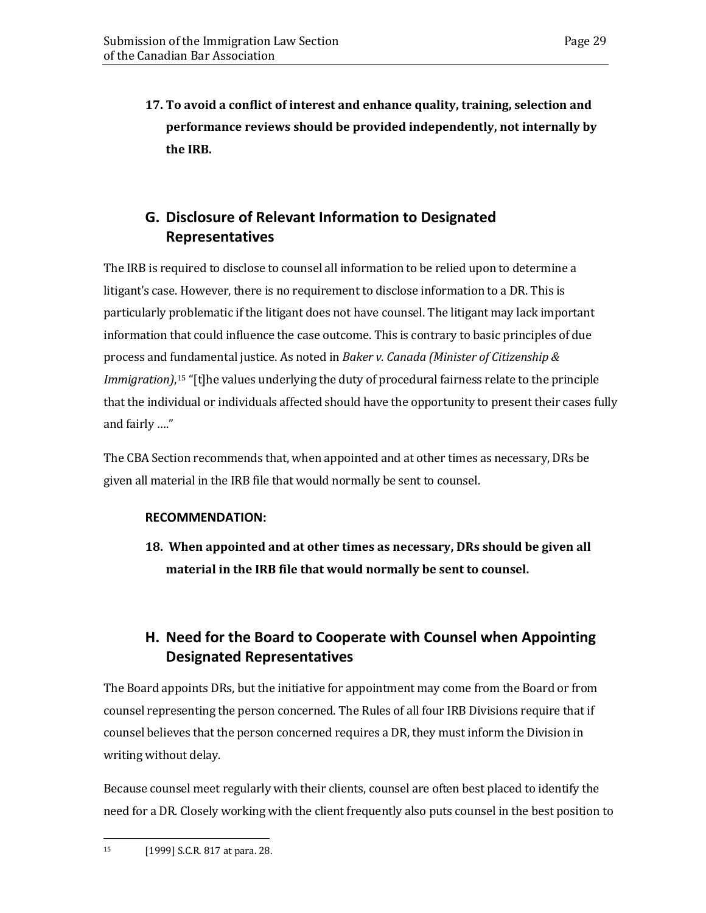**17. To avoid a conflict of interest and enhance quality, training, selection and performance reviews should be provided independently, not internally by the IRB.**

## <span id="page-32-0"></span>**G. Disclosure of Relevant Information to Designated Representatives**

The IRB is required to disclose to counsel all information to be relied upon to determine a litigant's case. However, there is no requirement to disclose information to a DR. This is particularly problematic if the litigant does not have counsel. The litigant may lack important information that could influence the case outcome. This is contrary to basic principles of due process and fundamental justice. As noted in *Baker v. Canada (Minister of Citizenship & Immigration)*,[15](#page-32-2) "[t]he values underlying the duty of procedural fairness relate to the principle that the individual or individuals affected should have the opportunity to present their cases fully and fairly …."

The CBA Section recommends that, when appointed and at other times as necessary, DRs be given all material in the IRB file that would normally be sent to counsel.

### **RECOMMENDATION:**

**18. When appointed and at other times as necessary, DRs should be given all material in the IRB file that would normally be sent to counsel.** 

## <span id="page-32-1"></span>**H. Need for the Board to Cooperate with Counsel when Appointing Designated Representatives**

The Board appoints DRs, but the initiative for appointment may come from the Board or from counsel representing the person concerned. The Rules of all four IRB Divisions require that if counsel believes that the person concerned requires a DR, they must inform the Division in writing without delay.

<span id="page-32-2"></span>Because counsel meet regularly with their clients, counsel are often best placed to identify the need for a DR. Closely working with the client frequently also puts counsel in the best position to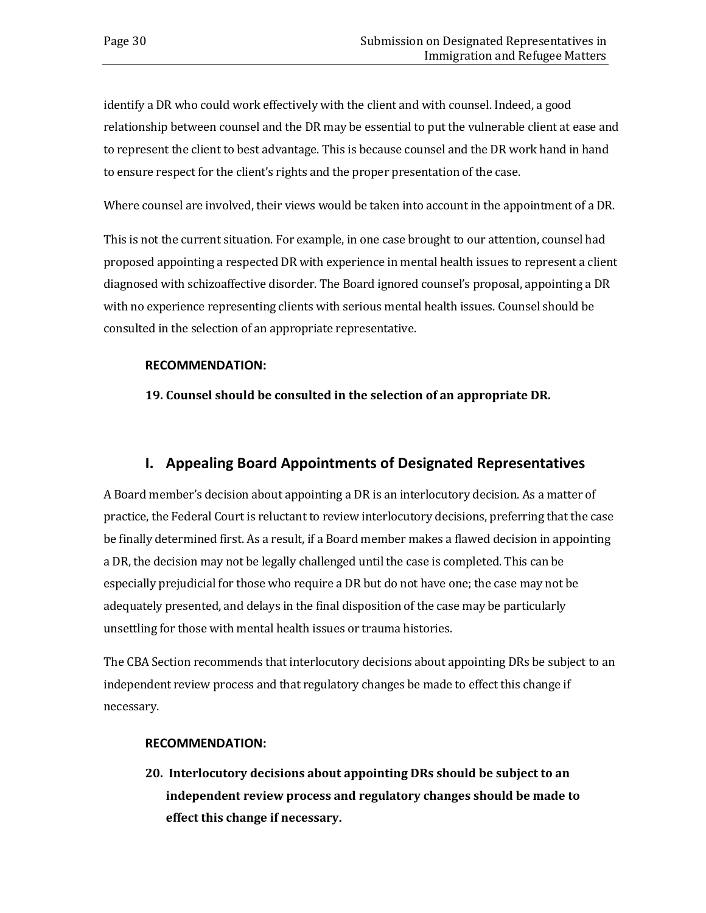identify a DR who could work effectively with the client and with counsel. Indeed, a good relationship between counsel and the DR may be essential to put the vulnerable client at ease and to represent the client to best advantage. This is because counsel and the DR work hand in hand to ensure respect for the client's rights and the proper presentation of the case.

Where counsel are involved, their views would be taken into account in the appointment of a DR.

This is not the current situation. For example, in one case brought to our attention, counsel had proposed appointing a respected DR with experience in mental health issues to represent a client diagnosed with schizoaffective disorder. The Board ignored counsel's proposal, appointing a DR with no experience representing clients with serious mental health issues. Counsel should be consulted in the selection of an appropriate representative.

### **RECOMMENDATION:**

**19. Counsel should be consulted in the selection of an appropriate DR.**

## **I. Appealing Board Appointments of Designated Representatives**

<span id="page-33-0"></span>A Board member's decision about appointing a DR is an interlocutory decision. As a matter of practice, the Federal Court is reluctant to review interlocutory decisions, preferring that the case be finally determined first. As a result, if a Board member makes a flawed decision in appointing a DR, the decision may not be legally challenged until the case is completed. This can be especially prejudicial for those who require a DR but do not have one; the case may not be adequately presented, and delays in the final disposition of the case may be particularly unsettling for those with mental health issues or trauma histories.

The CBA Section recommends that interlocutory decisions about appointing DRs be subject to an independent review process and that regulatory changes be made to effect this change if necessary.

#### **RECOMMENDATION:**

**20. Interlocutory decisions about appointing DRs should be subject to an independent review process and regulatory changes should be made to effect this change if necessary.**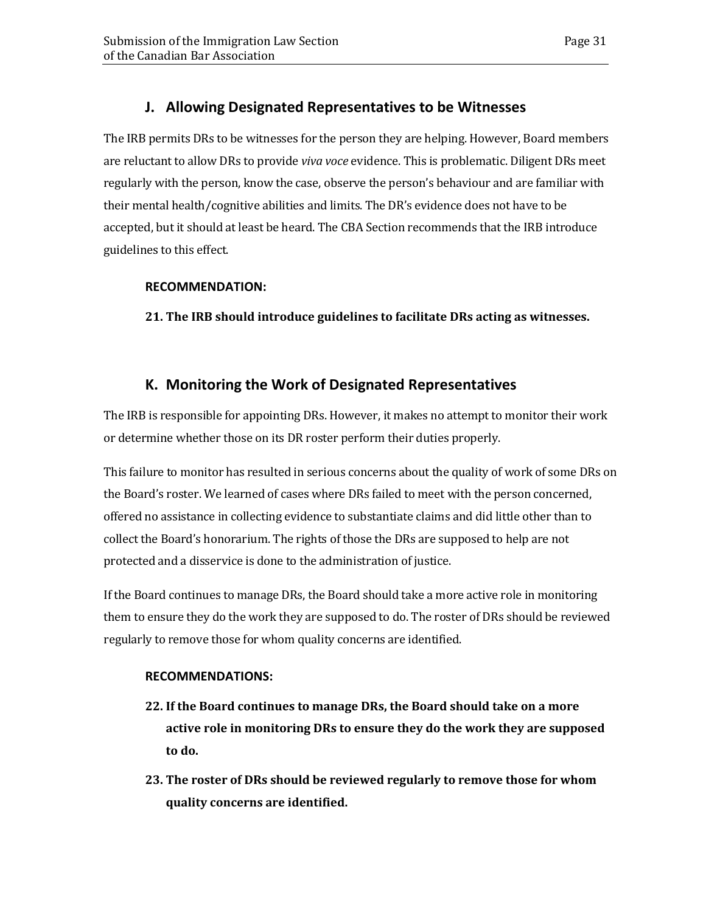## **J. Allowing Designated Representatives to be Witnesses**

<span id="page-34-0"></span>The IRB permits DRs to be witnesses for the person they are helping. However, Board members are reluctant to allow DRs to provide *viva voce* evidence. This is problematic. Diligent DRs meet regularly with the person, know the case, observe the person's behaviour and are familiar with their mental health/cognitive abilities and limits. The DR's evidence does not have to be accepted, but it should at least be heard. The CBA Section recommends that the IRB introduce guidelines to this effect.

### **RECOMMENDATION:**

**21. The IRB should introduce guidelines to facilitate DRs acting as witnesses.**

## **K. Monitoring the Work of Designated Representatives**

<span id="page-34-1"></span>The IRB is responsible for appointing DRs. However, it makes no attempt to monitor their work or determine whether those on its DR roster perform their duties properly.

This failure to monitor has resulted in serious concerns about the quality of work of some DRs on the Board's roster. We learned of cases where DRs failed to meet with the person concerned, offered no assistance in collecting evidence to substantiate claims and did little other than to collect the Board's honorarium. The rights of those the DRs are supposed to help are not protected and a disservice is done to the administration of justice.

If the Board continues to manage DRs, the Board should take a more active role in monitoring them to ensure they do the work they are supposed to do. The roster of DRs should be reviewed regularly to remove those for whom quality concerns are identified.

### **RECOMMENDATIONS:**

- **22. If the Board continues to manage DRs, the Board should take on a more active role in monitoring DRs to ensure they do the work they are supposed to do.**
- **23. The roster of DRs should be reviewed regularly to remove those for whom quality concerns are identified.**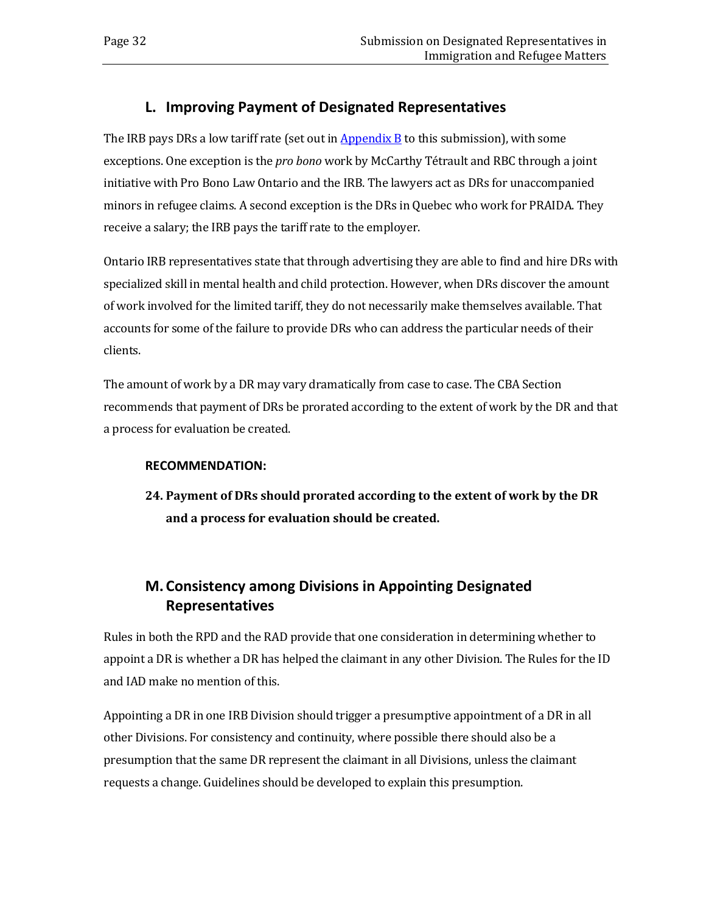## **L. Improving Payment of Designated Representatives**

<span id="page-35-0"></span>The IRB pays DRs a low tariff rate (set out in  $\frac{\text{Appendix } B}{\text{1}}$  $\frac{\text{Appendix } B}{\text{1}}$  $\frac{\text{Appendix } B}{\text{1}}$  to this submission), with some exceptions. One exception is the *pro bono* work by McCarthy Tétrault and RBC through a joint initiative with Pro Bono Law Ontario and the IRB. The lawyers act as DRs for unaccompanied minors in refugee claims. A second exception is the DRs in Quebec who work for PRAIDA. They receive a salary; the IRB pays the tariff rate to the employer.

Ontario IRB representatives state that through advertising they are able to find and hire DRs with specialized skill in mental health and child protection. However, when DRs discover the amount of work involved for the limited tariff, they do not necessarily make themselves available. That accounts for some of the failure to provide DRs who can address the particular needs of their clients.

The amount of work by a DR may vary dramatically from case to case. The CBA Section recommends that payment of DRs be prorated according to the extent of work by the DR and that a process for evaluation be created.

### **RECOMMENDATION:**

**24. Payment of DRs should prorated according to the extent of work by the DR and a process for evaluation should be created.**

## <span id="page-35-1"></span>**M. Consistency among Divisions in Appointing Designated Representatives**

Rules in both the RPD and the RAD provide that one consideration in determining whether to appoint a DR is whether a DR has helped the claimant in any other Division. The Rules for the ID and IAD make no mention of this.

Appointing a DR in one IRB Division should trigger a presumptive appointment of a DR in all other Divisions. For consistency and continuity, where possible there should also be a presumption that the same DR represent the claimant in all Divisions, unless the claimant requests a change. Guidelines should be developed to explain this presumption.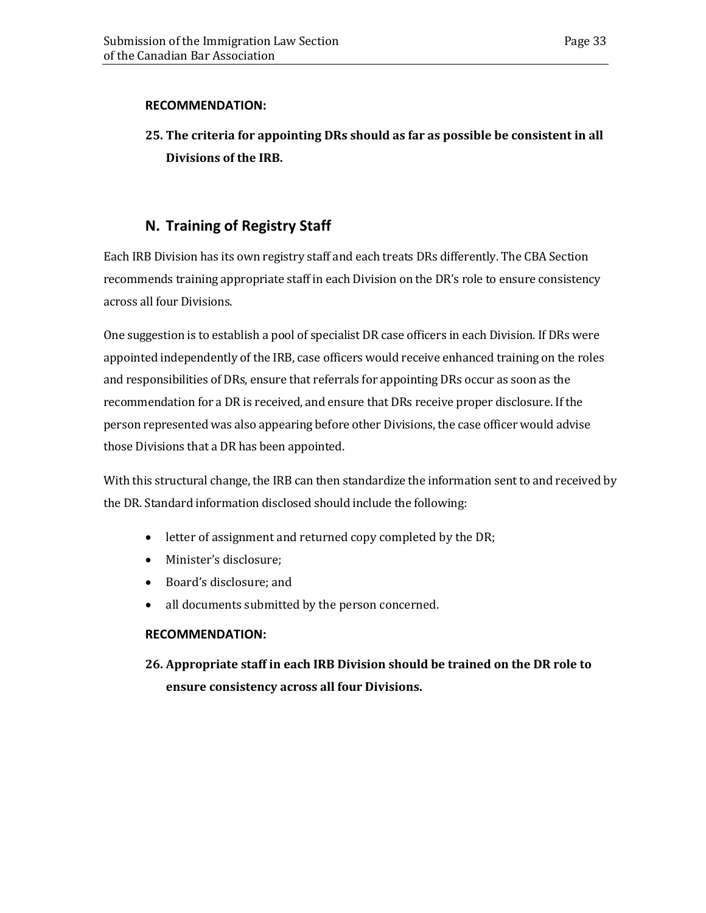### **RECOMMENDATION:**

## **25. The criteria for appointing DRs should as far as possible be consistent in all Divisions of the IRB.**

## **N. Training of Registry Staff**

<span id="page-36-0"></span>Each IRB Division has its own registry staff and each treats DRs differently. The CBA Section recommends training appropriate staff in each Division on the DR's role to ensure consistency across all four Divisions.

One suggestion is to establish a pool of specialist DR case officers in each Division. If DRs were appointed independently of the IRB, case officers would receive enhanced training on the roles and responsibilities of DRs, ensure that referrals for appointing DRs occur as soon as the recommendation for a DR is received, and ensure that DRs receive proper disclosure. If the person represented was also appearing before other Divisions, the case officer would advise those Divisions that a DR has been appointed.

With this structural change, the IRB can then standardize the information sent to and received by the DR. Standard information disclosed should include the following:

- letter of assignment and returned copy completed by the DR;
- Minister's disclosure;
- Board's disclosure; and
- all documents submitted by the person concerned.

### **RECOMMENDATION:**

**26. Appropriate staff in each IRB Division should be trained on the DR role to ensure consistency across all four Divisions.**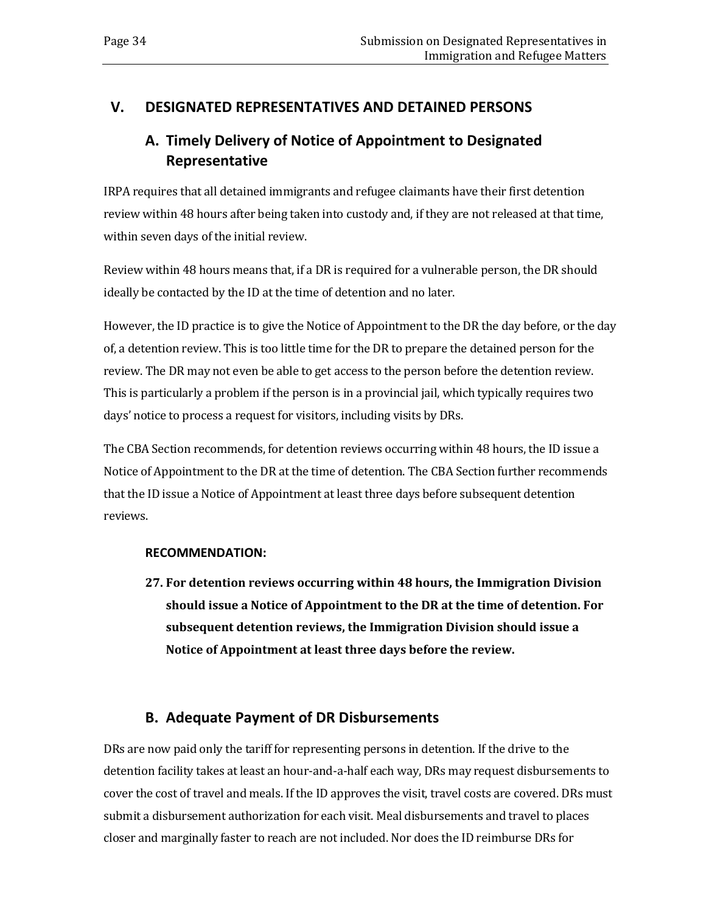## <span id="page-37-1"></span><span id="page-37-0"></span>**V. DESIGNATED REPRESENTATIVES AND DETAINED PERSONS**

## **A. Timely Delivery of Notice of Appointment to Designated Representative**

IRPA requires that all detained immigrants and refugee claimants have their first detention review within 48 hours after being taken into custody and, if they are not released at that time, within seven days of the initial review.

Review within 48 hours means that, if a DR is required for a vulnerable person, the DR should ideally be contacted by the ID at the time of detention and no later.

However, the ID practice is to give the Notice of Appointment to the DR the day before, or the day of, a detention review. This is too little time for the DR to prepare the detained person for the review. The DR may not even be able to get access to the person before the detention review. This is particularly a problem if the person is in a provincial jail, which typically requires two days' notice to process a request for visitors, including visits by DRs.

The CBA Section recommends, for detention reviews occurring within 48 hours, the ID issue a Notice of Appointment to the DR at the time of detention. The CBA Section further recommends that the ID issue a Notice of Appointment at least three days before subsequent detention reviews.

### **RECOMMENDATION:**

**27. For detention reviews occurring within 48 hours, the Immigration Division should issue a Notice of Appointment to the DR at the time of detention. For subsequent detention reviews, the Immigration Division should issue a Notice of Appointment at least three days before the review.**

## **B. Adequate Payment of DR Disbursements**

<span id="page-37-2"></span>DRs are now paid only the tariff for representing persons in detention. If the drive to the detention facility takes at least an hour-and-a-half each way, DRs may request disbursements to cover the cost of travel and meals. If the ID approves the visit, travel costs are covered. DRs must submit a disbursement authorization for each visit. Meal disbursements and travel to places closer and marginally faster to reach are not included. Nor does the ID reimburse DRs for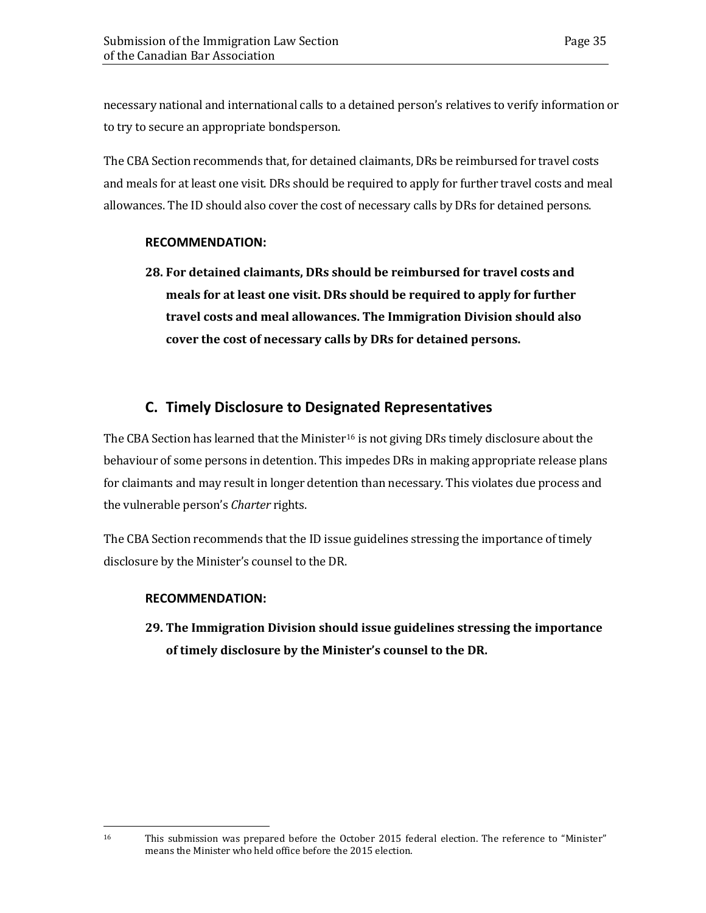necessary national and international calls to a detained person's relatives to verify information or to try to secure an appropriate bondsperson.

The CBA Section recommends that, for detained claimants, DRs be reimbursed for travel costs and meals for at least one visit. DRs should be required to apply for further travel costs and meal allowances. The ID should also cover the cost of necessary calls by DRs for detained persons.

### **RECOMMENDATION:**

**28. For detained claimants, DRs should be reimbursed for travel costs and meals for at least one visit. DRs should be required to apply for further travel costs and meal allowances. The Immigration Division should also cover the cost of necessary calls by DRs for detained persons.**

## **C. Timely Disclosure to Designated Representatives**

<span id="page-38-0"></span>The CBA Section has learned that the Minister<sup>[16](#page-38-2)</sup> is not giving DRs timely disclosure about the behaviour of some persons in detention. This impedes DRs in making appropriate release plans for claimants and may result in longer detention than necessary. This violates due process and the vulnerable person's *Charter* rights.

The CBA Section recommends that the ID issue guidelines stressing the importance of timely disclosure by the Minister's counsel to the DR.

### **RECOMMENDATION:**

<span id="page-38-1"></span>**29. The Immigration Division should issue guidelines stressing the importance of timely disclosure by the Minister's counsel to the DR.** 

<span id="page-38-2"></span><sup>16</sup> This submission was prepared before the October 2015 federal election. The reference to "Minister" means the Minister who held office before the 2015 election.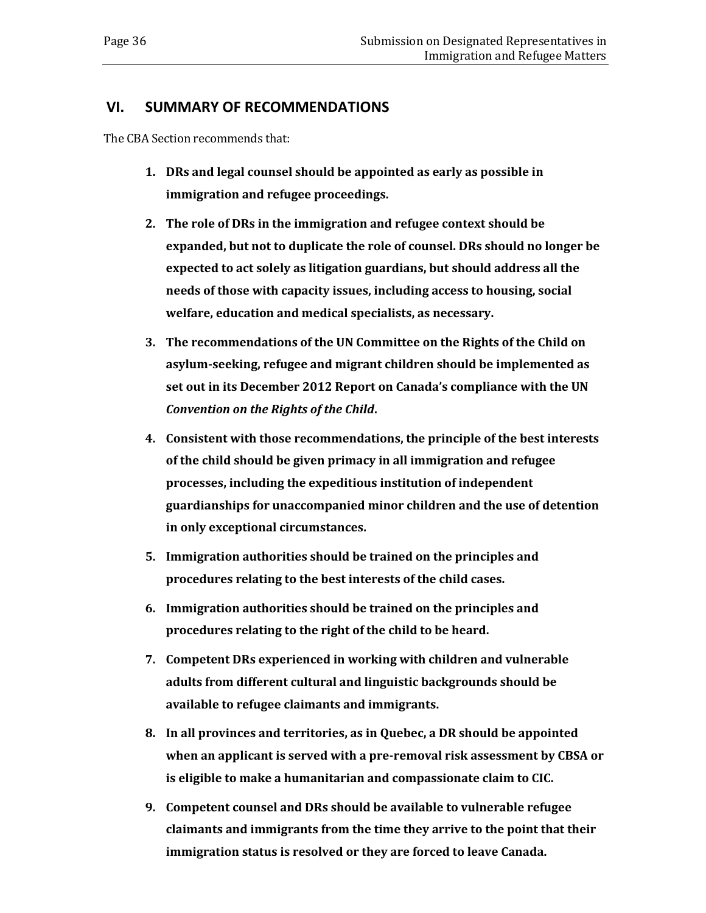### **VI. SUMMARY OF RECOMMENDATIONS**

The CBA Section recommends that:

- **1. DRs and legal counsel should be appointed as early as possible in immigration and refugee proceedings.**
- **2. The role of DRs in the immigration and refugee context should be expanded, but not to duplicate the role of counsel. DRs should no longer be expected to act solely as litigation guardians, but should address all the needs of those with capacity issues, including access to housing, social welfare, education and medical specialists, as necessary.**
- **3. The recommendations of the UN Committee on the Rights of the Child on asylum-seeking, refugee and migrant children should be implemented as set out in its December 2012 Report on Canada's compliance with the UN**  *Convention on the Rights of the Child***.**
- **4. Consistent with those recommendations, the principle of the best interests of the child should be given primacy in all immigration and refugee processes, including the expeditious institution of independent guardianships for unaccompanied minor children and the use of detention in only exceptional circumstances.**
- **5. Immigration authorities should be trained on the principles and procedures relating to the best interests of the child cases.**
- **6. Immigration authorities should be trained on the principles and procedures relating to the right of the child to be heard.**
- **7. Competent DRs experienced in working with children and vulnerable adults from different cultural and linguistic backgrounds should be available to refugee claimants and immigrants.**
- **8. In all provinces and territories, as in Quebec, a DR should be appointed when an applicant is served with a pre-removal risk assessment by CBSA or is eligible to make a humanitarian and compassionate claim to CIC.**
- **9. Competent counsel and DRs should be available to vulnerable refugee claimants and immigrants from the time they arrive to the point that their immigration status is resolved or they are forced to leave Canada.**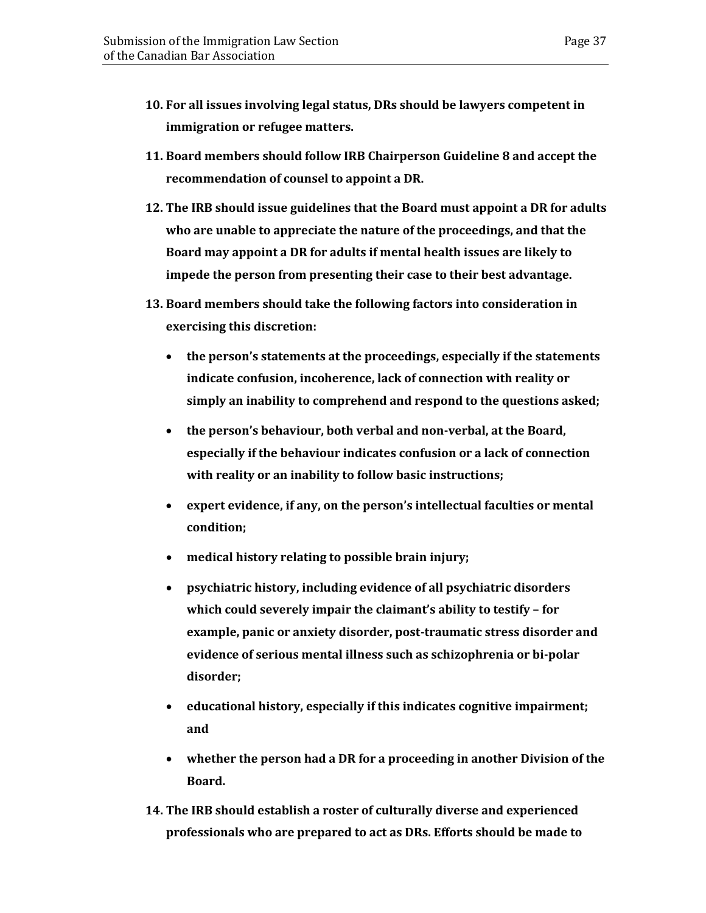- **10. For all issues involving legal status, DRs should be lawyers competent in immigration or refugee matters.**
- **11. Board members should follow IRB Chairperson Guideline 8 and accept the recommendation of counsel to appoint a DR.**
- **12. The IRB should issue guidelines that the Board must appoint a DR for adults who are unable to appreciate the nature of the proceedings, and that the Board may appoint a DR for adults if mental health issues are likely to impede the person from presenting their case to their best advantage.**
- **13. Board members should take the following factors into consideration in exercising this discretion:** 
	- **the person's statements at the proceedings, especially if the statements indicate confusion, incoherence, lack of connection with reality or simply an inability to comprehend and respond to the questions asked;**
	- **the person's behaviour, both verbal and non-verbal, at the Board, especially if the behaviour indicates confusion or a lack of connection with reality or an inability to follow basic instructions;**
	- **expert evidence, if any, on the person's intellectual faculties or mental condition;**
	- **medical history relating to possible brain injury;**
	- **psychiatric history, including evidence of all psychiatric disorders which could severely impair the claimant's ability to testify – for example, panic or anxiety disorder, post-traumatic stress disorder and evidence of serious mental illness such as schizophrenia or bi-polar disorder;**
	- **educational history, especially if this indicates cognitive impairment; and**
	- **whether the person had a DR for a proceeding in another Division of the Board.**
- **14. The IRB should establish a roster of culturally diverse and experienced professionals who are prepared to act as DRs. Efforts should be made to**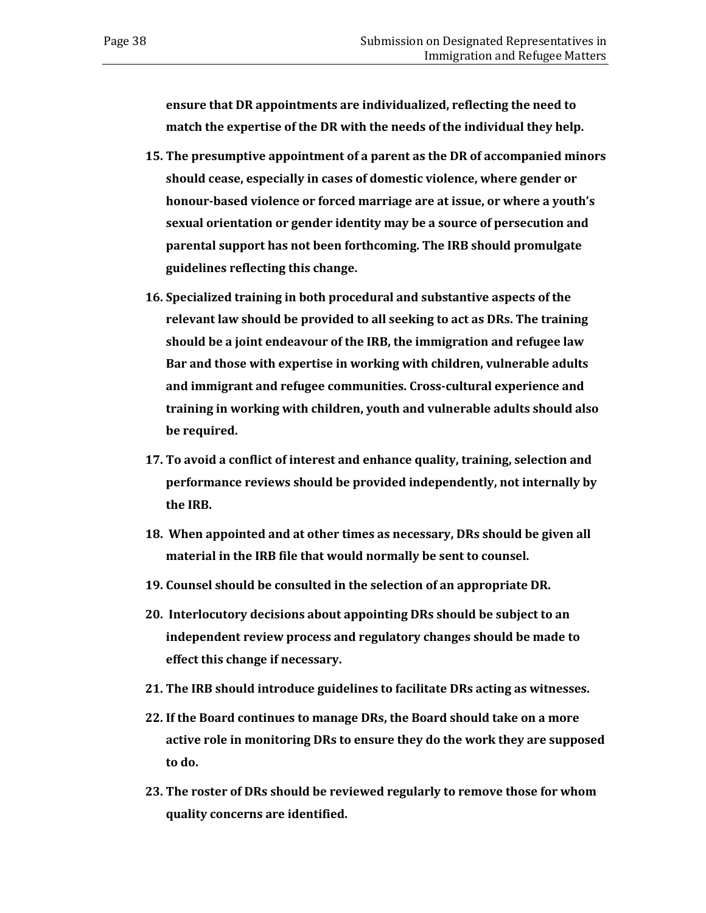**ensure that DR appointments are individualized, reflecting the need to match the expertise of the DR with the needs of the individual they help.** 

- **15. The presumptive appointment of a parent as the DR of accompanied minors should cease, especially in cases of domestic violence, where gender or honour-based violence or forced marriage are at issue, or where a youth's sexual orientation or gender identity may be a source of persecution and parental support has not been forthcoming. The IRB should promulgate guidelines reflecting this change.**
- **16. Specialized training in both procedural and substantive aspects of the relevant law should be provided to all seeking to act as DRs. The training should be a joint endeavour of the IRB, the immigration and refugee law Bar and those with expertise in working with children, vulnerable adults and immigrant and refugee communities. Cross-cultural experience and training in working with children, youth and vulnerable adults should also be required.**
- **17. To avoid a conflict of interest and enhance quality, training, selection and performance reviews should be provided independently, not internally by the IRB.**
- **18. When appointed and at other times as necessary, DRs should be given all material in the IRB file that would normally be sent to counsel.**
- **19. Counsel should be consulted in the selection of an appropriate DR.**
- **20. Interlocutory decisions about appointing DRs should be subject to an independent review process and regulatory changes should be made to effect this change if necessary.**
- **21. The IRB should introduce guidelines to facilitate DRs acting as witnesses.**
- **22. If the Board continues to manage DRs, the Board should take on a more active role in monitoring DRs to ensure they do the work they are supposed to do.**
- **23. The roster of DRs should be reviewed regularly to remove those for whom quality concerns are identified.**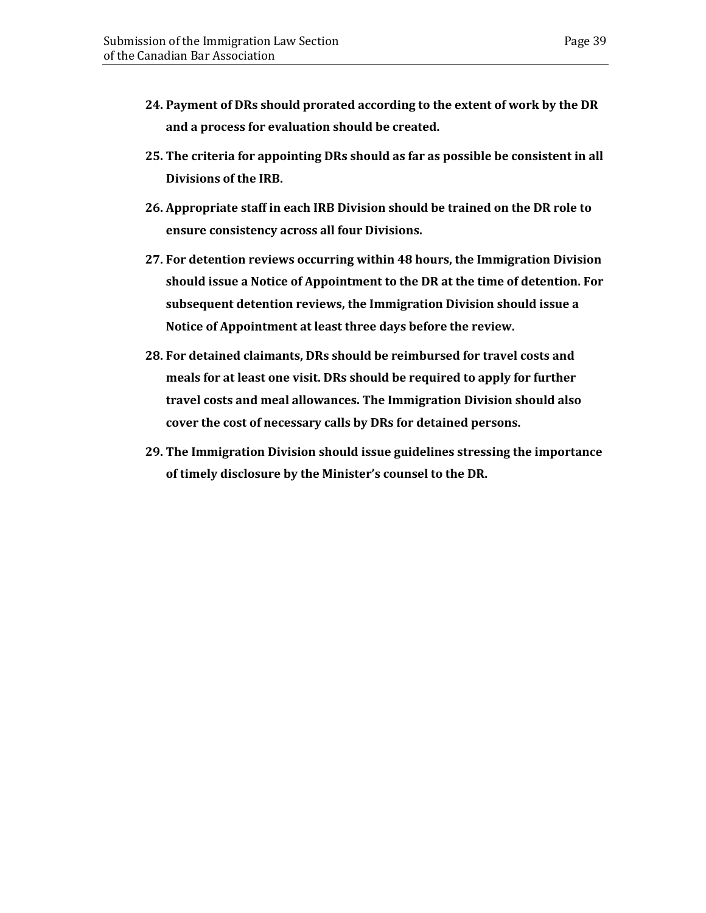- **24. Payment of DRs should prorated according to the extent of work by the DR and a process for evaluation should be created.**
- **25. The criteria for appointing DRs should as far as possible be consistent in all Divisions of the IRB.**
- **26. Appropriate staff in each IRB Division should be trained on the DR role to ensure consistency across all four Divisions.**
- **27. For detention reviews occurring within 48 hours, the Immigration Division should issue a Notice of Appointment to the DR at the time of detention. For subsequent detention reviews, the Immigration Division should issue a Notice of Appointment at least three days before the review.**
- **28. For detained claimants, DRs should be reimbursed for travel costs and meals for at least one visit. DRs should be required to apply for further travel costs and meal allowances. The Immigration Division should also cover the cost of necessary calls by DRs for detained persons.**
- **29. The Immigration Division should issue guidelines stressing the importance of timely disclosure by the Minister's counsel to the DR.**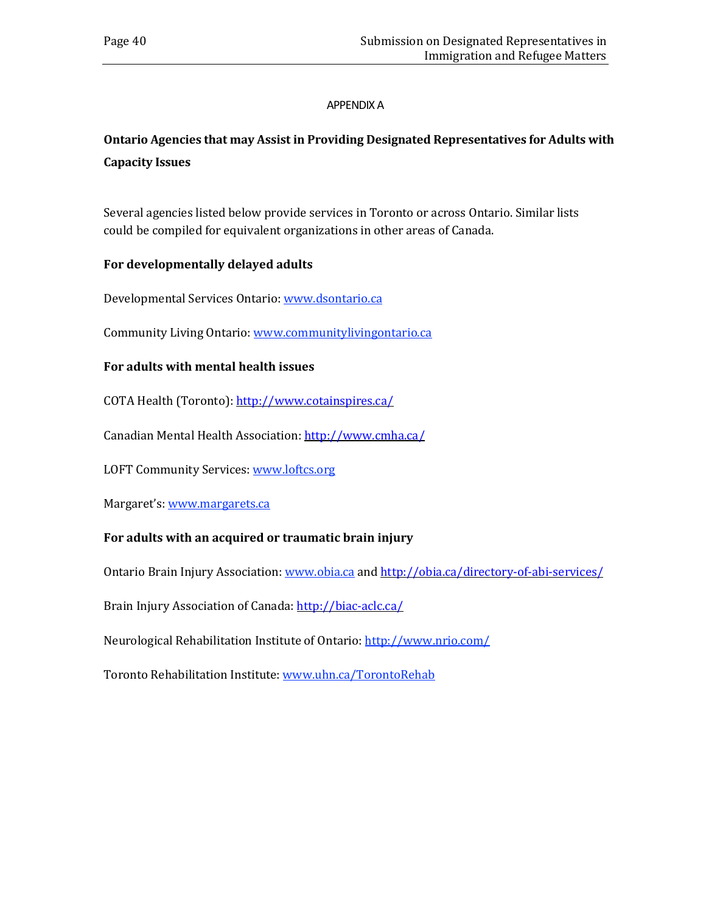### APPENDIX A

## <span id="page-43-0"></span>**Ontario Agencies that may Assist in Providing Designated Representatives for Adults with Capacity Issues**

Several agencies listed below provide services in Toronto or across Ontario. Similar lists could be compiled for equivalent organizations in other areas of Canada.

### **For developmentally delayed adults**

Developmental Services Ontario: [www.dsontario.ca](http://www.dsontario.ca/)

Community Living Ontario: [www.communitylivingontario.ca](http://www.communitylivingontario.ca/)

### **For adults with mental health issues**

COTA Health (Toronto): <http://www.cotainspires.ca/>

Canadian Mental Health Association: <http://www.cmha.ca/>

LOFT Community Services: [www.loftcs.org](http://www.loftcs.org/)

Margaret's: [www.margarets.ca](http://www.margarets.ca/)

### **For adults with an acquired or traumatic brain injury**

Ontario Brain Injury Association: [www.obia.ca](http://www.obia.ca/) and <http://obia.ca/directory-of-abi-services/>

Brain Injury Association of Canada: <http://biac-aclc.ca/>

Neurological Rehabilitation Institute of Ontario: <http://www.nrio.com/>

Toronto Rehabilitation Institute: [www.uhn.ca/TorontoRehab](http://www.uhn.ca/TorontoRehab)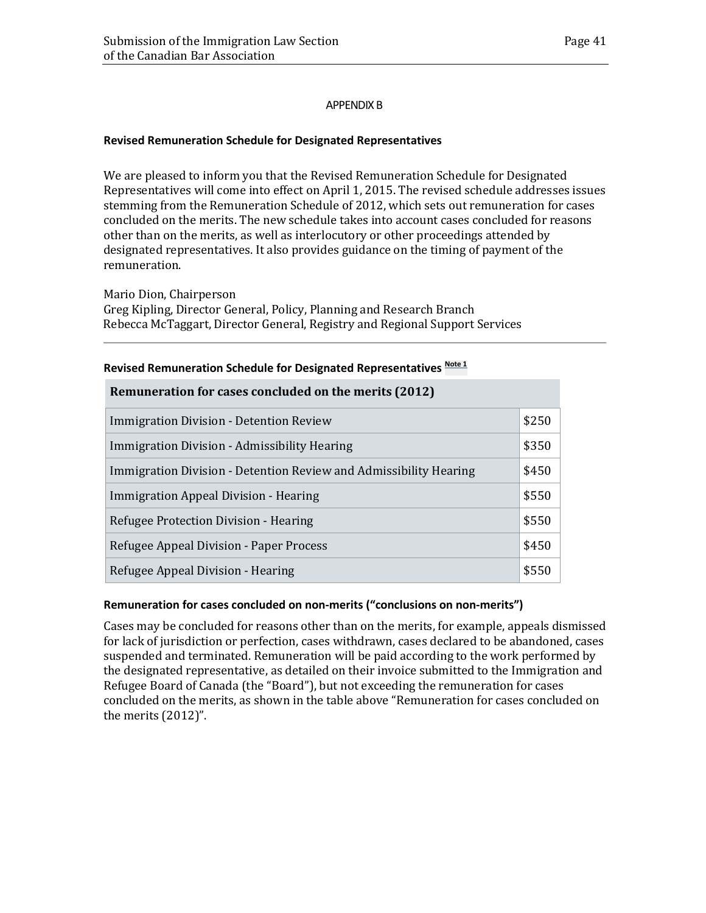### APPENDIX B

### <span id="page-44-0"></span>**Revised Remuneration Schedule for Designated Representatives**

We are pleased to inform you that the Revised Remuneration Schedule for Designated Representatives will come into effect on April 1, 2015. The revised schedule addresses issues stemming from the Remuneration Schedule of 2012, which sets out remuneration for cases concluded on the merits. The new schedule takes into account cases concluded for reasons other than on the merits, as well as interlocutory or other proceedings attended by designated representatives. It also provides guidance on the timing of payment of the remuneration.

Mario Dion, Chairperson

Greg Kipling, Director General, Policy, Planning and Research Branch Rebecca McTaggart, Director General, Registry and Regional Support Services

| Remuneration for cases concluded on the merits (2012)             |       |  |  |  |
|-------------------------------------------------------------------|-------|--|--|--|
| Immigration Division - Detention Review                           | \$250 |  |  |  |
| Immigration Division - Admissibility Hearing                      | \$350 |  |  |  |
| Immigration Division - Detention Review and Admissibility Hearing | \$450 |  |  |  |
| Immigration Appeal Division - Hearing                             | \$550 |  |  |  |
| Refugee Protection Division - Hearing                             | \$550 |  |  |  |
| Refugee Appeal Division - Paper Process                           | \$450 |  |  |  |
| Refugee Appeal Division - Hearing                                 | \$550 |  |  |  |

### **Revised Remuneration Schedule for Designated Representatives [Note 1](http://www.irb-cisr.gc.ca/Eng/NewsNouv/NewNou/Pages/DesRepRem.aspx#note1)**

### **Remuneration for cases concluded on non-merits ("conclusions on non-merits")**

Cases may be concluded for reasons other than on the merits, for example, appeals dismissed for lack of jurisdiction or perfection, cases withdrawn, cases declared to be abandoned, cases suspended and terminated. Remuneration will be paid according to the work performed by the designated representative, as detailed on their invoice submitted to the Immigration and Refugee Board of Canada (the "Board"), but not exceeding the remuneration for cases concluded on the merits, as shown in the table above "Remuneration for cases concluded on the merits (2012)".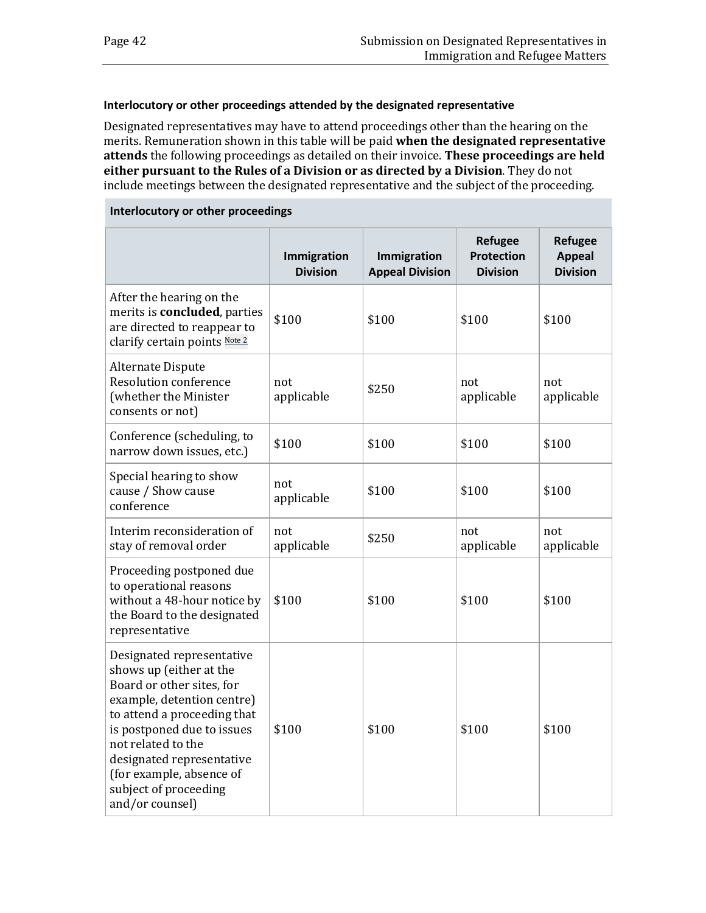#### **Interlocutory or other proceedings attended by the designated representative**

Designated representatives may have to attend proceedings other than the hearing on the merits. Remuneration shown in this table will be paid **when the designated representative attends** the following proceedings as detailed on their invoice. **These proceedings are held either pursuant to the Rules of a Division or as directed by a Division**. They do not include meetings between the designated representative and the subject of the proceeding.

#### **Interlocutory or other proceedings**

|                                                                                                                                                                                                                                                                                                         | Immigration<br><b>Division</b> | Immigration<br><b>Appeal Division</b> | <b>Refugee</b><br><b>Protection</b><br><b>Division</b> | <b>Refugee</b><br><b>Appeal</b><br><b>Division</b> |
|---------------------------------------------------------------------------------------------------------------------------------------------------------------------------------------------------------------------------------------------------------------------------------------------------------|--------------------------------|---------------------------------------|--------------------------------------------------------|----------------------------------------------------|
| After the hearing on the<br>merits is concluded, parties<br>are directed to reappear to<br>clarify certain points Note 2                                                                                                                                                                                | \$100                          | \$100                                 | \$100                                                  | \$100                                              |
| Alternate Dispute<br>Resolution conference<br>(whether the Minister<br>consents or not)                                                                                                                                                                                                                 | not<br>applicable              | \$250                                 | not<br>applicable                                      | not<br>applicable                                  |
| Conference (scheduling, to<br>narrow down issues, etc.)                                                                                                                                                                                                                                                 | \$100                          | \$100                                 | \$100                                                  | \$100                                              |
| Special hearing to show<br>cause / Show cause<br>conference                                                                                                                                                                                                                                             | not<br>applicable              | \$100                                 | \$100                                                  | \$100                                              |
| Interim reconsideration of<br>stay of removal order                                                                                                                                                                                                                                                     | not<br>applicable              | \$250                                 | not<br>applicable                                      | not<br>applicable                                  |
| Proceeding postponed due<br>to operational reasons<br>without a 48-hour notice by<br>the Board to the designated<br>representative                                                                                                                                                                      | \$100                          | \$100                                 | \$100                                                  | \$100                                              |
| Designated representative<br>shows up (either at the<br>Board or other sites, for<br>example, detention centre)<br>to attend a proceeding that<br>is postponed due to issues<br>not related to the<br>designated representative<br>(for example, absence of<br>subject of proceeding<br>and/or counsel) | \$100                          | \$100                                 | \$100                                                  | \$100                                              |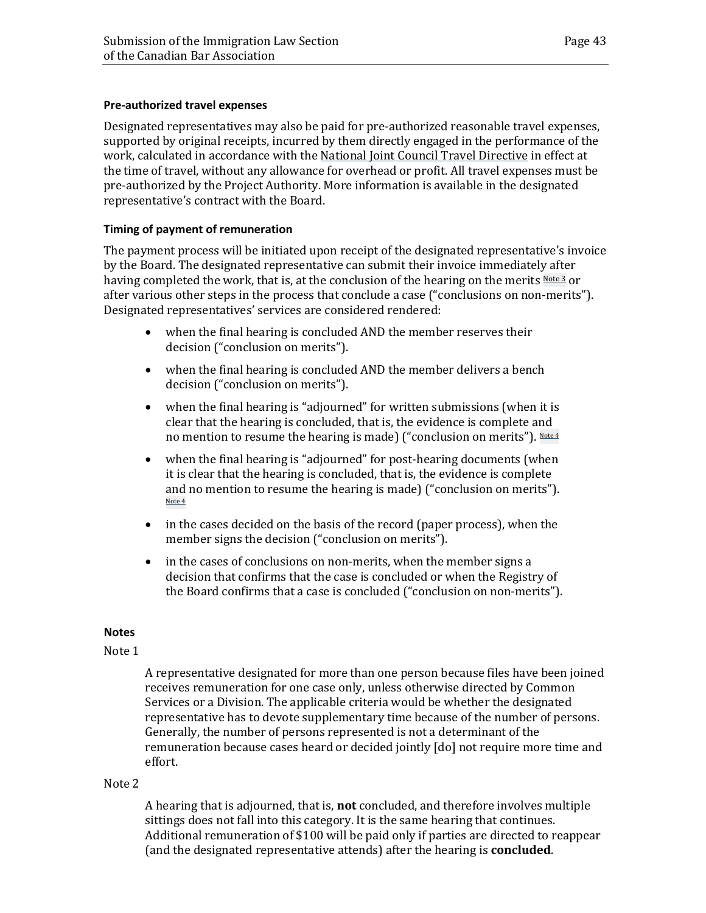### **Pre-authorized travel expenses**

Designated representatives may also be paid for pre-authorized reasonable travel expenses, supported by original receipts, incurred by them directly engaged in the performance of the work, calculated in accordance with the National Joint Council Travel [Directive](http://www.njc-cnm.gc.ca/directive/travel-voyage/index-eng.php) in effect at the time of travel, without any allowance for overhead or profit. All travel expenses must be pre-authorized by the Project Authority. More information is available in the designated representative's contract with the Board.

### **Timing of payment of remuneration**

The payment process will be initiated upon receipt of the designated representative's invoice by the Board. The designated representative can submit their invoice immediately after having completed the work, that is, at the conclusion of the hearing on the merits [Note](http://www.irb-cisr.gc.ca/Eng/NewsNouv/NewNou/Pages/DesRepRem.aspx#note3) 3 or after various other steps in the process that conclude a case ("conclusions on non-merits"). Designated representatives' services are considered rendered:

- when the final hearing is concluded AND the member reserves their decision ("conclusion on merits").
- when the final hearing is concluded AND the member delivers a bench decision ("conclusion on merits").
- when the final hearing is "adjourned" for written submissions (when it is clear that the hearing is concluded, that is, the evidence is complete and no mention to resume the hearing is made) ("conclusion on merits"). [Not](http://www.irb-cisr.gc.ca/Eng/NewsNouv/NewNou/Pages/DesRepRem.aspx#note4)e 4
- when the final hearing is "adjourned" for post-hearing documents (when it is clear that the hearing is concluded, that is, the evidence is complete and no mention to resume the hearing is made) ("conclusion on merits"). [Not](http://www.irb-cisr.gc.ca/Eng/NewsNouv/NewNou/Pages/DesRepRem.aspx#note4)e 4
- in the cases decided on the basis of the record (paper process), when the member signs the decision ("conclusion on merits").
- in the cases of conclusions on non-merits, when the member signs a decision that confirms that the case is concluded or when the Registry of the Board confirms that a case is concluded ("conclusion on non-merits").

#### **Notes**

#### Note 1

A representative designated for more than one person because files have been joined receives remuneration for one case only, unless otherwise directed by Common Services or a Division. The applicable criteria would be whether the designated representative has to devote supplementary time because of the number of persons. Generally, the number of persons represented is not a determinant of the remuneration because cases heard or decided jointly [do] not require more time and effort.

### Note 2

A hearing that is adjourned, that is, **not** concluded, and therefore involves multiple sittings does not fall into this category. It is the same hearing that continues. Additional remuneration of \$100 will be paid only if parties are directed to reappear (and the designated representative attends) after the hearing is **concluded**.